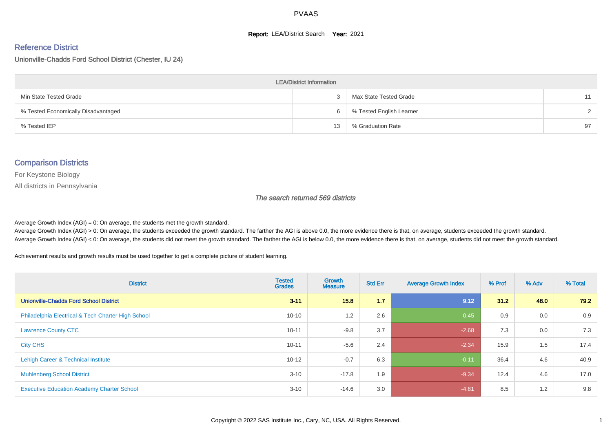#### **Report: LEA/District Search Year: 2021**

#### Reference District

Unionville-Chadds Ford School District (Chester, IU 24)

| <b>LEA/District Information</b>     |    |                          |               |  |  |  |  |  |  |  |
|-------------------------------------|----|--------------------------|---------------|--|--|--|--|--|--|--|
| Min State Tested Grade              |    | Max State Tested Grade   | 11            |  |  |  |  |  |  |  |
| % Tested Economically Disadvantaged | b  | % Tested English Learner | $\mathcal{D}$ |  |  |  |  |  |  |  |
| % Tested IEP                        | 13 | % Graduation Rate        | 97            |  |  |  |  |  |  |  |

#### Comparison Districts

For Keystone Biology

All districts in Pennsylvania

The search returned 569 districts

Average Growth Index  $(AGI) = 0$ : On average, the students met the growth standard.

Average Growth Index (AGI) > 0: On average, the students exceeded the growth standard. The farther the AGI is above 0.0, the more evidence there is that, on average, students exceeded the growth standard. Average Growth Index (AGI) < 0: On average, the students did not meet the growth standard. The farther the AGI is below 0.0, the more evidence there is that, on average, students did not meet the growth standard.

Achievement results and growth results must be used together to get a complete picture of student learning.

| <b>District</b>                                    | <b>Tested</b><br><b>Grades</b> | <b>Growth</b><br><b>Measure</b> | <b>Std Err</b> | <b>Average Growth Index</b> | % Prof | % Adv | % Total |
|----------------------------------------------------|--------------------------------|---------------------------------|----------------|-----------------------------|--------|-------|---------|
| <b>Unionville-Chadds Ford School District</b>      | $3 - 11$                       | 15.8                            | 1.7            | 9.12                        | 31.2   | 48.0  | 79.2    |
| Philadelphia Electrical & Tech Charter High School | $10 - 10$                      | 1.2                             | 2.6            | 0.45                        | 0.9    | 0.0   | 0.9     |
| <b>Lawrence County CTC</b>                         | $10 - 11$                      | $-9.8$                          | 3.7            | $-2.68$                     | 7.3    | 0.0   | 7.3     |
| <b>City CHS</b>                                    | $10 - 11$                      | $-5.6$                          | 2.4            | $-2.34$                     | 15.9   | 1.5   | 17.4    |
| Lehigh Career & Technical Institute                | $10 - 12$                      | $-0.7$                          | 6.3            | $-0.11$                     | 36.4   | 4.6   | 40.9    |
| <b>Muhlenberg School District</b>                  | $3 - 10$                       | $-17.8$                         | 1.9            | $-9.34$                     | 12.4   | 4.6   | 17.0    |
| <b>Executive Education Academy Charter School</b>  | $3 - 10$                       | $-14.6$                         | 3.0            | $-4.81$                     | 8.5    | 1.2   | 9.8     |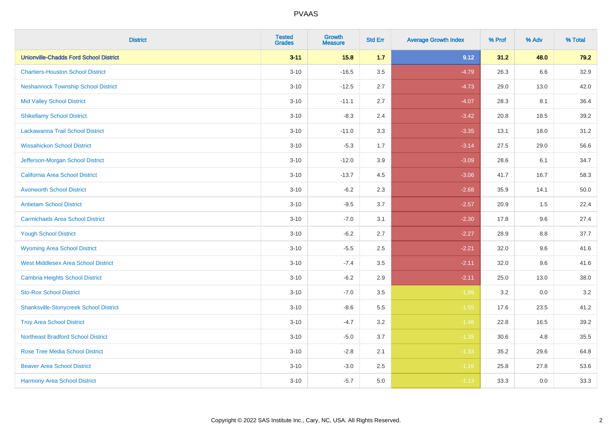| <b>District</b>                               | <b>Tested</b><br><b>Grades</b> | <b>Growth</b><br><b>Measure</b> | <b>Std Err</b> | <b>Average Growth Index</b> | % Prof | % Adv   | % Total  |
|-----------------------------------------------|--------------------------------|---------------------------------|----------------|-----------------------------|--------|---------|----------|
| <b>Unionville-Chadds Ford School District</b> | $3 - 11$                       | 15.8                            | 1.7            | 9.12                        | 31.2   | 48.0    | 79.2     |
| <b>Chartiers-Houston School District</b>      | $3 - 10$                       | $-16.5$                         | 3.5            | $-4.79$                     | 26.3   | 6.6     | 32.9     |
| <b>Neshannock Township School District</b>    | $3 - 10$                       | $-12.5$                         | 2.7            | $-4.73$                     | 29.0   | 13.0    | 42.0     |
| <b>Mid Valley School District</b>             | $3 - 10$                       | $-11.1$                         | 2.7            | $-4.07$                     | 28.3   | 8.1     | 36.4     |
| <b>Shikellamy School District</b>             | $3 - 10$                       | $-8.3$                          | 2.4            | $-3.42$                     | 20.8   | 18.5    | 39.2     |
| Lackawanna Trail School District              | $3 - 10$                       | $-11.0$                         | 3.3            | $-3.35$                     | 13.1   | 18.0    | 31.2     |
| <b>Wissahickon School District</b>            | $3 - 10$                       | $-5.3$                          | 1.7            | $-3.14$                     | 27.5   | 29.0    | 56.6     |
| Jefferson-Morgan School District              | $3 - 10$                       | $-12.0$                         | 3.9            | $-3.09$                     | 28.6   | 6.1     | 34.7     |
| California Area School District               | $3 - 10$                       | $-13.7$                         | 4.5            | $-3.06$                     | 41.7   | 16.7    | 58.3     |
| <b>Avonworth School District</b>              | $3 - 10$                       | $-6.2$                          | 2.3            | $-2.68$                     | 35.9   | 14.1    | $50.0\,$ |
| <b>Antietam School District</b>               | $3 - 10$                       | $-9.5$                          | 3.7            | $-2.57$                     | 20.9   | 1.5     | 22.4     |
| <b>Carmichaels Area School District</b>       | $3 - 10$                       | $-7.0$                          | 3.1            | $-2.30$                     | 17.8   | 9.6     | 27.4     |
| <b>Yough School District</b>                  | $3 - 10$                       | $-6.2$                          | 2.7            | $-2.27$                     | 28.9   | $8.8\,$ | 37.7     |
| <b>Wyoming Area School District</b>           | $3 - 10$                       | $-5.5$                          | 2.5            | $-2.21$                     | 32.0   | 9.6     | 41.6     |
| <b>West Middlesex Area School District</b>    | $3 - 10$                       | $-7.4$                          | 3.5            | $-2.11$                     | 32.0   | 9.6     | 41.6     |
| <b>Cambria Heights School District</b>        | $3 - 10$                       | $-6.2$                          | 2.9            | $-2.11$                     | 25.0   | 13.0    | 38.0     |
| <b>Sto-Rox School District</b>                | $3 - 10$                       | $-7.0$                          | 3.5            | $-1.99$                     | 3.2    | 0.0     | 3.2      |
| <b>Shanksville-Stonycreek School District</b> | $3 - 10$                       | $-8.6$                          | 5.5            | $-1.55$                     | 17.6   | 23.5    | 41.2     |
| <b>Troy Area School District</b>              | $3 - 10$                       | $-4.7$                          | 3.2            | $-1.46$                     | 22.8   | 16.5    | 39.2     |
| <b>Northeast Bradford School District</b>     | $3 - 10$                       | $-5.0$                          | 3.7            | $-1.35$                     | 30.6   | 4.8     | 35.5     |
| <b>Rose Tree Media School District</b>        | $3 - 10$                       | $-2.8$                          | 2.1            | $-1.33$                     | 35.2   | 29.6    | 64.8     |
| <b>Beaver Area School District</b>            | $3 - 10$                       | $-3.0$                          | 2.5            | $-1.16$                     | 25.8   | 27.8    | 53.6     |
| Harmony Area School District                  | $3 - 10$                       | $-5.7$                          | 5.0            | $-1.13$                     | 33.3   | 0.0     | 33.3     |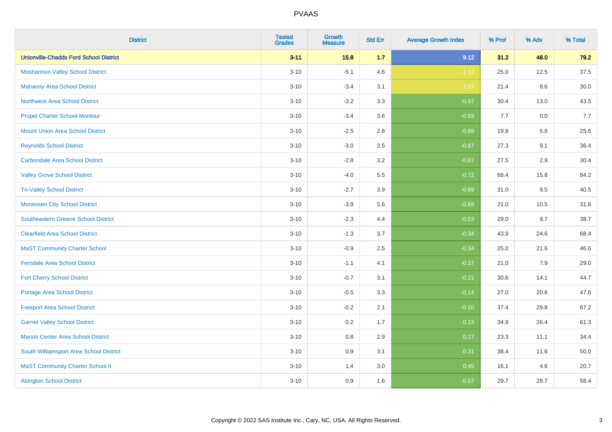| <b>District</b>                               | <b>Tested</b><br><b>Grades</b> | <b>Growth</b><br><b>Measure</b> | <b>Std Err</b> | <b>Average Growth Index</b> | % Prof | % Adv | % Total |
|-----------------------------------------------|--------------------------------|---------------------------------|----------------|-----------------------------|--------|-------|---------|
| <b>Unionville-Chadds Ford School District</b> | $3 - 11$                       | 15.8                            | 1.7            | 9.12                        | 31.2   | 48.0  | 79.2    |
| <b>Moshannon Valley School District</b>       | $3 - 10$                       | $-5.1$                          | 4.6            | $-1.12$                     | 25.0   | 12.5  | 37.5    |
| <b>Mahanoy Area School District</b>           | $3 - 10$                       | $-3.4$                          | 3.1            | $-1.07$                     | 21.4   | 8.6   | 30.0    |
| <b>Northwest Area School District</b>         | $3 - 10$                       | $-3.2$                          | 3.3            | $-0.97$                     | 30.4   | 13.0  | 43.5    |
| <b>Propel Charter School-Montour</b>          | $3 - 10$                       | $-3.4$                          | 3.6            | $-0.93$                     | 7.7    | 0.0   | 7.7     |
| <b>Mount Union Area School District</b>       | $3 - 10$                       | $-2.5$                          | 2.8            | $-0.89$                     | 19.8   | 5.8   | 25.6    |
| <b>Reynolds School District</b>               | $3 - 10$                       | $-3.0$                          | 3.5            | $-0.87$                     | 27.3   | 9.1   | 36.4    |
| <b>Carbondale Area School District</b>        | $3 - 10$                       | $-2.8$                          | 3.2            | $-0.87$                     | 27.5   | 2.9   | 30.4    |
| <b>Valley Grove School District</b>           | $3 - 10$                       | $-4.0$                          | 5.5            | $-0.72$                     | 68.4   | 15.8  | 84.2    |
| <b>Tri-Valley School District</b>             | $3 - 10$                       | $-2.7$                          | 3.9            | $-0.69$                     | 31.0   | 9.5   | 40.5    |
| <b>Monessen City School District</b>          | $3 - 10$                       | $-3.9$                          | 5.6            | $-0.69$                     | 21.0   | 10.5  | 31.6    |
| <b>Southeastern Greene School District</b>    | $3 - 10$                       | $-2.3$                          | 4.4            | $-0.53$                     | 29.0   | 9.7   | 38.7    |
| <b>Clearfield Area School District</b>        | $3 - 10$                       | $-1.3$                          | 3.7            | $-0.34$                     | 43.9   | 24.6  | 68.4    |
| <b>MaST Community Charter School</b>          | $3 - 10$                       | $-0.9$                          | 2.5            | $-0.34$                     | 25.0   | 21.6  | 46.6    |
| <b>Ferndale Area School District</b>          | $3 - 10$                       | $-1.1$                          | 4.1            | $-0.27$                     | 21.0   | 7.9   | 29.0    |
| <b>Fort Cherry School District</b>            | $3 - 10$                       | $-0.7$                          | 3.1            | $-0.21$                     | 30.6   | 14.1  | 44.7    |
| <b>Portage Area School District</b>           | $3 - 10$                       | $-0.5$                          | 3.3            | $-0.14$                     | 27.0   | 20.6  | 47.6    |
| <b>Freeport Area School District</b>          | $3 - 10$                       | $-0.2$                          | 2.1            | $-0.10$                     | 37.4   | 29.8  | 67.2    |
| <b>Garnet Valley School District</b>          | $3 - 10$                       | 0.2                             | 1.7            | 0.13                        | 34.9   | 26.4  | 61.3    |
| <b>Marion Center Area School District</b>     | $3 - 10$                       | $0.8\,$                         | 2.9            | 0.27                        | 23.3   | 11.1  | 34.4    |
| South Williamsport Area School District       | $3 - 10$                       | 0.9                             | 3.1            | 0.31                        | 38.4   | 11.6  | 50.0    |
| <b>MaST Community Charter School II</b>       | $3 - 10$                       | 1.4                             | 3.0            | 0.45                        | 16.1   | 4.6   | 20.7    |
| <b>Abington School District</b>               | $3 - 10$                       | 0.9                             | 1.6            | 0.57                        | 29.7   | 28.7  | 58.4    |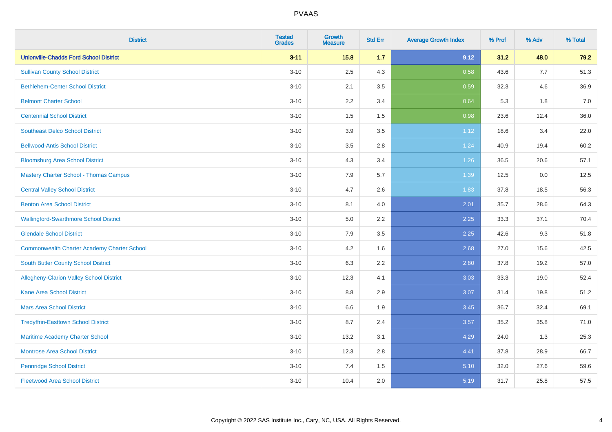| <b>District</b>                                    | <b>Tested</b><br><b>Grades</b> | <b>Growth</b><br><b>Measure</b> | <b>Std Err</b> | <b>Average Growth Index</b> | % Prof | % Adv | % Total |
|----------------------------------------------------|--------------------------------|---------------------------------|----------------|-----------------------------|--------|-------|---------|
| <b>Unionville-Chadds Ford School District</b>      | $3 - 11$                       | 15.8                            | 1.7            | 9.12                        | 31.2   | 48.0  | 79.2    |
| <b>Sullivan County School District</b>             | $3 - 10$                       | 2.5                             | 4.3            | 0.58                        | 43.6   | 7.7   | 51.3    |
| <b>Bethlehem-Center School District</b>            | $3 - 10$                       | 2.1                             | 3.5            | 0.59                        | 32.3   | 4.6   | 36.9    |
| <b>Belmont Charter School</b>                      | $3 - 10$                       | 2.2                             | 3.4            | 0.64                        | 5.3    | 1.8   | 7.0     |
| <b>Centennial School District</b>                  | $3 - 10$                       | 1.5                             | 1.5            | 0.98                        | 23.6   | 12.4  | 36.0    |
| <b>Southeast Delco School District</b>             | $3 - 10$                       | 3.9                             | 3.5            | 1.12                        | 18.6   | 3.4   | 22.0    |
| <b>Bellwood-Antis School District</b>              | $3 - 10$                       | 3.5                             | 2.8            | 1.24                        | 40.9   | 19.4  | 60.2    |
| <b>Bloomsburg Area School District</b>             | $3 - 10$                       | 4.3                             | 3.4            | 1.26                        | 36.5   | 20.6  | 57.1    |
| <b>Mastery Charter School - Thomas Campus</b>      | $3 - 10$                       | 7.9                             | 5.7            | 1.39                        | 12.5   | 0.0   | 12.5    |
| <b>Central Valley School District</b>              | $3 - 10$                       | 4.7                             | 2.6            | 1.83                        | 37.8   | 18.5  | 56.3    |
| <b>Benton Area School District</b>                 | $3 - 10$                       | 8.1                             | 4.0            | 2.01                        | 35.7   | 28.6  | 64.3    |
| <b>Wallingford-Swarthmore School District</b>      | $3 - 10$                       | 5.0                             | 2.2            | 2.25                        | 33.3   | 37.1  | 70.4    |
| <b>Glendale School District</b>                    | $3 - 10$                       | 7.9                             | 3.5            | 2.25                        | 42.6   | 9.3   | 51.8    |
| <b>Commonwealth Charter Academy Charter School</b> | $3 - 10$                       | 4.2                             | 1.6            | 2.68                        | 27.0   | 15.6  | 42.5    |
| South Butler County School District                | $3 - 10$                       | 6.3                             | 2.2            | 2.80                        | 37.8   | 19.2  | 57.0    |
| Allegheny-Clarion Valley School District           | $3 - 10$                       | 12.3                            | 4.1            | 3.03                        | 33.3   | 19.0  | 52.4    |
| <b>Kane Area School District</b>                   | $3 - 10$                       | 8.8                             | 2.9            | 3.07                        | 31.4   | 19.8  | 51.2    |
| <b>Mars Area School District</b>                   | $3 - 10$                       | 6.6                             | 1.9            | 3.45                        | 36.7   | 32.4  | 69.1    |
| <b>Tredyffrin-Easttown School District</b>         | $3 - 10$                       | 8.7                             | 2.4            | 3.57                        | 35.2   | 35.8  | 71.0    |
| Maritime Academy Charter School                    | $3 - 10$                       | 13.2                            | 3.1            | 4.29                        | 24.0   | 1.3   | 25.3    |
| <b>Montrose Area School District</b>               | $3 - 10$                       | 12.3                            | 2.8            | 4.41                        | 37.8   | 28.9  | 66.7    |
| <b>Pennridge School District</b>                   | $3 - 10$                       | 7.4                             | 1.5            | 5.10                        | 32.0   | 27.6  | 59.6    |
| <b>Fleetwood Area School District</b>              | $3 - 10$                       | 10.4                            | 2.0            | 5.19                        | 31.7   | 25.8  | 57.5    |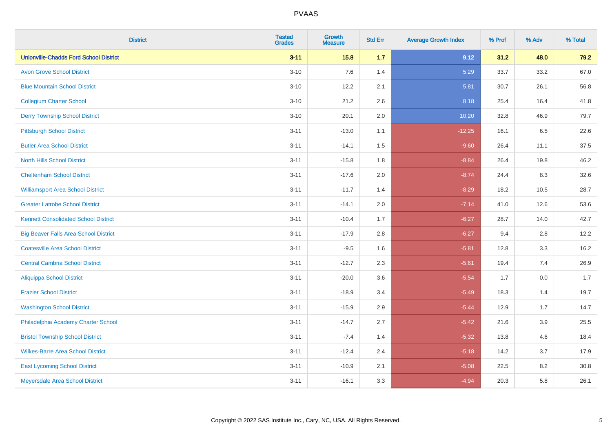| <b>District</b>                               | <b>Tested</b><br><b>Grades</b> | <b>Growth</b><br><b>Measure</b> | <b>Std Err</b> | <b>Average Growth Index</b> | % Prof | % Adv   | % Total |
|-----------------------------------------------|--------------------------------|---------------------------------|----------------|-----------------------------|--------|---------|---------|
| <b>Unionville-Chadds Ford School District</b> | $3 - 11$                       | 15.8                            | 1.7            | 9.12                        | 31.2   | 48.0    | 79.2    |
| <b>Avon Grove School District</b>             | $3 - 10$                       | 7.6                             | 1.4            | 5.29                        | 33.7   | 33.2    | 67.0    |
| <b>Blue Mountain School District</b>          | $3 - 10$                       | 12.2                            | 2.1            | 5.81                        | 30.7   | 26.1    | 56.8    |
| <b>Collegium Charter School</b>               | $3 - 10$                       | 21.2                            | 2.6            | 8.18                        | 25.4   | 16.4    | 41.8    |
| <b>Derry Township School District</b>         | $3 - 10$                       | 20.1                            | 2.0            | 10.20                       | 32.8   | 46.9    | 79.7    |
| <b>Pittsburgh School District</b>             | $3 - 11$                       | $-13.0$                         | 1.1            | $-12.25$                    | 16.1   | 6.5     | 22.6    |
| <b>Butler Area School District</b>            | $3 - 11$                       | $-14.1$                         | 1.5            | $-9.60$                     | 26.4   | 11.1    | 37.5    |
| <b>North Hills School District</b>            | $3 - 11$                       | $-15.8$                         | 1.8            | $-8.84$                     | 26.4   | 19.8    | 46.2    |
| <b>Cheltenham School District</b>             | $3 - 11$                       | $-17.6$                         | 2.0            | $-8.74$                     | 24.4   | 8.3     | 32.6    |
| <b>Williamsport Area School District</b>      | $3 - 11$                       | $-11.7$                         | 1.4            | $-8.29$                     | 18.2   | 10.5    | 28.7    |
| <b>Greater Latrobe School District</b>        | $3 - 11$                       | $-14.1$                         | 2.0            | $-7.14$                     | 41.0   | 12.6    | 53.6    |
| <b>Kennett Consolidated School District</b>   | $3 - 11$                       | $-10.4$                         | 1.7            | $-6.27$                     | 28.7   | 14.0    | 42.7    |
| <b>Big Beaver Falls Area School District</b>  | $3 - 11$                       | $-17.9$                         | 2.8            | $-6.27$                     | 9.4    | 2.8     | 12.2    |
| <b>Coatesville Area School District</b>       | $3 - 11$                       | $-9.5$                          | 1.6            | $-5.81$                     | 12.8   | 3.3     | 16.2    |
| <b>Central Cambria School District</b>        | $3 - 11$                       | $-12.7$                         | 2.3            | $-5.61$                     | 19.4   | 7.4     | 26.9    |
| <b>Aliquippa School District</b>              | $3 - 11$                       | $-20.0$                         | 3.6            | $-5.54$                     | 1.7    | $0.0\,$ | 1.7     |
| <b>Frazier School District</b>                | $3 - 11$                       | $-18.9$                         | 3.4            | $-5.49$                     | 18.3   | 1.4     | 19.7    |
| <b>Washington School District</b>             | $3 - 11$                       | $-15.9$                         | 2.9            | $-5.44$                     | 12.9   | 1.7     | 14.7    |
| Philadelphia Academy Charter School           | $3 - 11$                       | $-14.7$                         | 2.7            | $-5.42$                     | 21.6   | 3.9     | 25.5    |
| <b>Bristol Township School District</b>       | $3 - 11$                       | $-7.4$                          | 1.4            | $-5.32$                     | 13.8   | 4.6     | 18.4    |
| <b>Wilkes-Barre Area School District</b>      | $3 - 11$                       | $-12.4$                         | 2.4            | $-5.18$                     | 14.2   | 3.7     | 17.9    |
| <b>East Lycoming School District</b>          | $3 - 11$                       | $-10.9$                         | 2.1            | $-5.08$                     | 22.5   | 8.2     | 30.8    |
| Meyersdale Area School District               | $3 - 11$                       | $-16.1$                         | 3.3            | $-4.94$                     | 20.3   | 5.8     | 26.1    |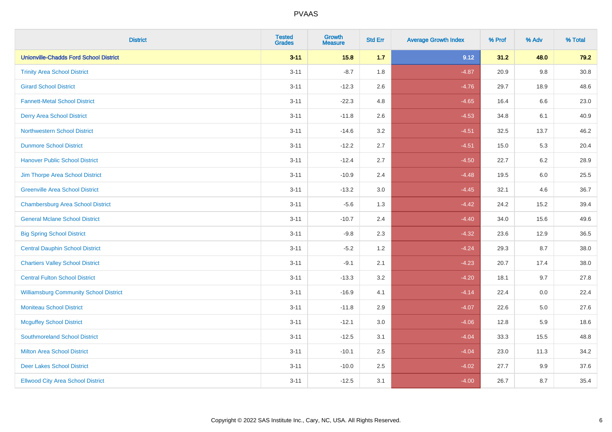| <b>District</b>                               | <b>Tested</b><br><b>Grades</b> | <b>Growth</b><br><b>Measure</b> | <b>Std Err</b> | <b>Average Growth Index</b> | % Prof | % Adv   | % Total  |
|-----------------------------------------------|--------------------------------|---------------------------------|----------------|-----------------------------|--------|---------|----------|
| <b>Unionville-Chadds Ford School District</b> | $3 - 11$                       | 15.8                            | 1.7            | 9.12                        | 31.2   | 48.0    | 79.2     |
| <b>Trinity Area School District</b>           | $3 - 11$                       | $-8.7$                          | 1.8            | $-4.87$                     | 20.9   | $9.8\,$ | $30.8\,$ |
| <b>Girard School District</b>                 | $3 - 11$                       | $-12.3$                         | 2.6            | $-4.76$                     | 29.7   | 18.9    | 48.6     |
| <b>Fannett-Metal School District</b>          | $3 - 11$                       | $-22.3$                         | 4.8            | $-4.65$                     | 16.4   | 6.6     | 23.0     |
| <b>Derry Area School District</b>             | $3 - 11$                       | $-11.8$                         | 2.6            | $-4.53$                     | 34.8   | 6.1     | 40.9     |
| <b>Northwestern School District</b>           | $3 - 11$                       | $-14.6$                         | 3.2            | $-4.51$                     | 32.5   | 13.7    | 46.2     |
| <b>Dunmore School District</b>                | $3 - 11$                       | $-12.2$                         | 2.7            | $-4.51$                     | 15.0   | 5.3     | 20.4     |
| <b>Hanover Public School District</b>         | $3 - 11$                       | $-12.4$                         | 2.7            | $-4.50$                     | 22.7   | 6.2     | 28.9     |
| Jim Thorpe Area School District               | $3 - 11$                       | $-10.9$                         | 2.4            | $-4.48$                     | 19.5   | 6.0     | 25.5     |
| <b>Greenville Area School District</b>        | $3 - 11$                       | $-13.2$                         | 3.0            | $-4.45$                     | 32.1   | 4.6     | 36.7     |
| <b>Chambersburg Area School District</b>      | $3 - 11$                       | $-5.6$                          | 1.3            | $-4.42$                     | 24.2   | 15.2    | 39.4     |
| <b>General Mclane School District</b>         | $3 - 11$                       | $-10.7$                         | 2.4            | $-4.40$                     | 34.0   | 15.6    | 49.6     |
| <b>Big Spring School District</b>             | $3 - 11$                       | $-9.8$                          | 2.3            | $-4.32$                     | 23.6   | 12.9    | 36.5     |
| <b>Central Dauphin School District</b>        | $3 - 11$                       | $-5.2$                          | 1.2            | $-4.24$                     | 29.3   | 8.7     | 38.0     |
| <b>Chartiers Valley School District</b>       | $3 - 11$                       | $-9.1$                          | 2.1            | $-4.23$                     | 20.7   | 17.4    | 38.0     |
| <b>Central Fulton School District</b>         | $3 - 11$                       | $-13.3$                         | 3.2            | $-4.20$                     | 18.1   | 9.7     | 27.8     |
| <b>Williamsburg Community School District</b> | $3 - 11$                       | $-16.9$                         | 4.1            | $-4.14$                     | 22.4   | 0.0     | 22.4     |
| <b>Moniteau School District</b>               | $3 - 11$                       | $-11.8$                         | 2.9            | $-4.07$                     | 22.6   | 5.0     | 27.6     |
| <b>Mcguffey School District</b>               | $3 - 11$                       | $-12.1$                         | 3.0            | $-4.06$                     | 12.8   | 5.9     | 18.6     |
| <b>Southmoreland School District</b>          | $3 - 11$                       | $-12.5$                         | 3.1            | $-4.04$                     | 33.3   | 15.5    | 48.8     |
| <b>Milton Area School District</b>            | $3 - 11$                       | $-10.1$                         | 2.5            | $-4.04$                     | 23.0   | 11.3    | 34.2     |
| <b>Deer Lakes School District</b>             | $3 - 11$                       | $-10.0$                         | 2.5            | $-4.02$                     | 27.7   | 9.9     | 37.6     |
| <b>Ellwood City Area School District</b>      | $3 - 11$                       | $-12.5$                         | 3.1            | $-4.00$                     | 26.7   | 8.7     | 35.4     |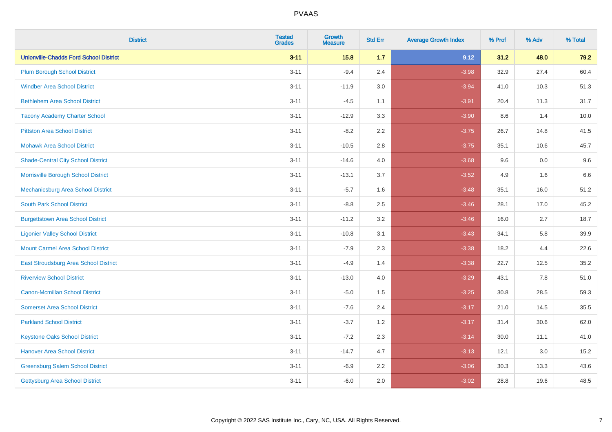| <b>District</b>                               | <b>Tested</b><br><b>Grades</b> | <b>Growth</b><br><b>Measure</b> | <b>Std Err</b> | <b>Average Growth Index</b> | % Prof | % Adv | % Total |
|-----------------------------------------------|--------------------------------|---------------------------------|----------------|-----------------------------|--------|-------|---------|
| <b>Unionville-Chadds Ford School District</b> | $3 - 11$                       | 15.8                            | 1.7            | 9.12                        | 31.2   | 48.0  | 79.2    |
| <b>Plum Borough School District</b>           | $3 - 11$                       | $-9.4$                          | 2.4            | $-3.98$                     | 32.9   | 27.4  | 60.4    |
| <b>Windber Area School District</b>           | $3 - 11$                       | $-11.9$                         | 3.0            | $-3.94$                     | 41.0   | 10.3  | 51.3    |
| <b>Bethlehem Area School District</b>         | $3 - 11$                       | $-4.5$                          | 1.1            | $-3.91$                     | 20.4   | 11.3  | 31.7    |
| <b>Tacony Academy Charter School</b>          | $3 - 11$                       | $-12.9$                         | 3.3            | $-3.90$                     | 8.6    | 1.4   | 10.0    |
| <b>Pittston Area School District</b>          | $3 - 11$                       | $-8.2$                          | 2.2            | $-3.75$                     | 26.7   | 14.8  | 41.5    |
| <b>Mohawk Area School District</b>            | $3 - 11$                       | $-10.5$                         | 2.8            | $-3.75$                     | 35.1   | 10.6  | 45.7    |
| <b>Shade-Central City School District</b>     | $3 - 11$                       | $-14.6$                         | 4.0            | $-3.68$                     | 9.6    | 0.0   | 9.6     |
| Morrisville Borough School District           | $3 - 11$                       | $-13.1$                         | 3.7            | $-3.52$                     | 4.9    | 1.6   | 6.6     |
| Mechanicsburg Area School District            | $3 - 11$                       | $-5.7$                          | 1.6            | $-3.48$                     | 35.1   | 16.0  | 51.2    |
| <b>South Park School District</b>             | $3 - 11$                       | $-8.8$                          | 2.5            | $-3.46$                     | 28.1   | 17.0  | 45.2    |
| <b>Burgettstown Area School District</b>      | $3 - 11$                       | $-11.2$                         | 3.2            | $-3.46$                     | 16.0   | 2.7   | 18.7    |
| <b>Ligonier Valley School District</b>        | $3 - 11$                       | $-10.8$                         | 3.1            | $-3.43$                     | 34.1   | 5.8   | 39.9    |
| <b>Mount Carmel Area School District</b>      | $3 - 11$                       | $-7.9$                          | 2.3            | $-3.38$                     | 18.2   | 4.4   | 22.6    |
| East Stroudsburg Area School District         | $3 - 11$                       | $-4.9$                          | 1.4            | $-3.38$                     | 22.7   | 12.5  | 35.2    |
| <b>Riverview School District</b>              | $3 - 11$                       | $-13.0$                         | 4.0            | $-3.29$                     | 43.1   | 7.8   | 51.0    |
| <b>Canon-Mcmillan School District</b>         | $3 - 11$                       | $-5.0$                          | 1.5            | $-3.25$                     | 30.8   | 28.5  | 59.3    |
| <b>Somerset Area School District</b>          | $3 - 11$                       | $-7.6$                          | 2.4            | $-3.17$                     | 21.0   | 14.5  | 35.5    |
| <b>Parkland School District</b>               | $3 - 11$                       | $-3.7$                          | 1.2            | $-3.17$                     | 31.4   | 30.6  | 62.0    |
| <b>Keystone Oaks School District</b>          | $3 - 11$                       | $-7.2$                          | 2.3            | $-3.14$                     | 30.0   | 11.1  | 41.0    |
| <b>Hanover Area School District</b>           | $3 - 11$                       | $-14.7$                         | 4.7            | $-3.13$                     | 12.1   | 3.0   | 15.2    |
| <b>Greensburg Salem School District</b>       | $3 - 11$                       | $-6.9$                          | 2.2            | $-3.06$                     | 30.3   | 13.3  | 43.6    |
| Gettysburg Area School District               | $3 - 11$                       | $-6.0$                          | 2.0            | $-3.02$                     | 28.8   | 19.6  | 48.5    |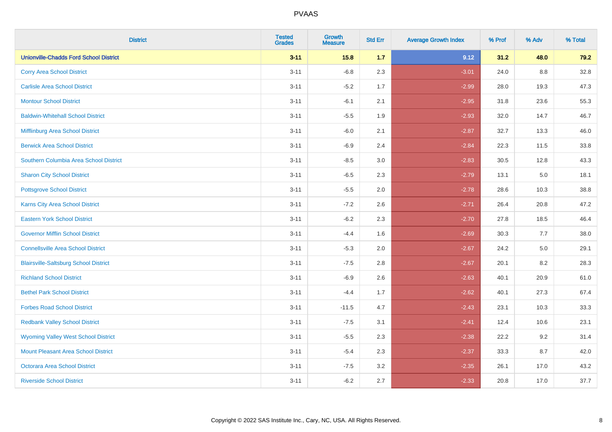| <b>District</b>                               | <b>Tested</b><br><b>Grades</b> | <b>Growth</b><br><b>Measure</b> | <b>Std Err</b> | <b>Average Growth Index</b> | % Prof | % Adv | % Total |
|-----------------------------------------------|--------------------------------|---------------------------------|----------------|-----------------------------|--------|-------|---------|
| <b>Unionville-Chadds Ford School District</b> | $3 - 11$                       | 15.8                            | 1.7            | 9.12                        | 31.2   | 48.0  | 79.2    |
| <b>Corry Area School District</b>             | $3 - 11$                       | $-6.8$                          | 2.3            | $-3.01$                     | 24.0   | 8.8   | 32.8    |
| <b>Carlisle Area School District</b>          | $3 - 11$                       | $-5.2$                          | 1.7            | $-2.99$                     | 28.0   | 19.3  | 47.3    |
| <b>Montour School District</b>                | $3 - 11$                       | $-6.1$                          | 2.1            | $-2.95$                     | 31.8   | 23.6  | 55.3    |
| <b>Baldwin-Whitehall School District</b>      | $3 - 11$                       | $-5.5$                          | 1.9            | $-2.93$                     | 32.0   | 14.7  | 46.7    |
| Mifflinburg Area School District              | $3 - 11$                       | $-6.0$                          | 2.1            | $-2.87$                     | 32.7   | 13.3  | 46.0    |
| <b>Berwick Area School District</b>           | $3 - 11$                       | $-6.9$                          | 2.4            | $-2.84$                     | 22.3   | 11.5  | 33.8    |
| Southern Columbia Area School District        | $3 - 11$                       | $-8.5$                          | 3.0            | $-2.83$                     | 30.5   | 12.8  | 43.3    |
| <b>Sharon City School District</b>            | $3 - 11$                       | $-6.5$                          | 2.3            | $-2.79$                     | 13.1   | 5.0   | 18.1    |
| <b>Pottsgrove School District</b>             | $3 - 11$                       | $-5.5$                          | 2.0            | $-2.78$                     | 28.6   | 10.3  | 38.8    |
| <b>Karns City Area School District</b>        | $3 - 11$                       | $-7.2$                          | 2.6            | $-2.71$                     | 26.4   | 20.8  | 47.2    |
| <b>Eastern York School District</b>           | $3 - 11$                       | $-6.2$                          | 2.3            | $-2.70$                     | 27.8   | 18.5  | 46.4    |
| <b>Governor Mifflin School District</b>       | $3 - 11$                       | $-4.4$                          | 1.6            | $-2.69$                     | 30.3   | 7.7   | 38.0    |
| <b>Connellsville Area School District</b>     | $3 - 11$                       | $-5.3$                          | 2.0            | $-2.67$                     | 24.2   | 5.0   | 29.1    |
| <b>Blairsville-Saltsburg School District</b>  | $3 - 11$                       | $-7.5$                          | 2.8            | $-2.67$                     | 20.1   | 8.2   | 28.3    |
| <b>Richland School District</b>               | $3 - 11$                       | $-6.9$                          | 2.6            | $-2.63$                     | 40.1   | 20.9  | 61.0    |
| <b>Bethel Park School District</b>            | $3 - 11$                       | $-4.4$                          | 1.7            | $-2.62$                     | 40.1   | 27.3  | 67.4    |
| <b>Forbes Road School District</b>            | $3 - 11$                       | $-11.5$                         | 4.7            | $-2.43$                     | 23.1   | 10.3  | 33.3    |
| <b>Redbank Valley School District</b>         | $3 - 11$                       | $-7.5$                          | 3.1            | $-2.41$                     | 12.4   | 10.6  | 23.1    |
| <b>Wyoming Valley West School District</b>    | $3 - 11$                       | $-5.5$                          | 2.3            | $-2.38$                     | 22.2   | 9.2   | 31.4    |
| <b>Mount Pleasant Area School District</b>    | $3 - 11$                       | $-5.4$                          | 2.3            | $-2.37$                     | 33.3   | 8.7   | 42.0    |
| <b>Octorara Area School District</b>          | $3 - 11$                       | $-7.5$                          | 3.2            | $-2.35$                     | 26.1   | 17.0  | 43.2    |
| <b>Riverside School District</b>              | $3 - 11$                       | $-6.2$                          | 2.7            | $-2.33$                     | 20.8   | 17.0  | 37.7    |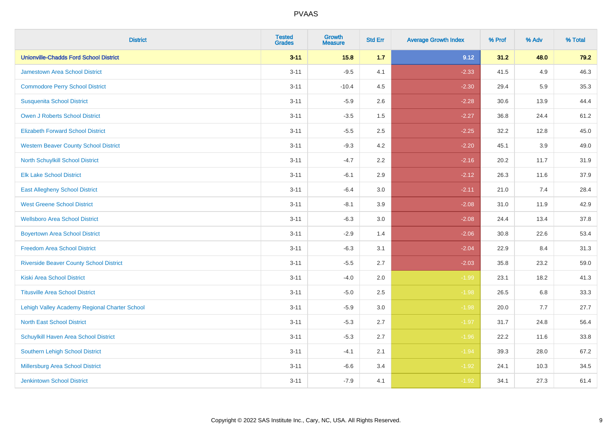| <b>District</b>                                | <b>Tested</b><br><b>Grades</b> | <b>Growth</b><br><b>Measure</b> | <b>Std Err</b> | <b>Average Growth Index</b> | % Prof | % Adv   | % Total |
|------------------------------------------------|--------------------------------|---------------------------------|----------------|-----------------------------|--------|---------|---------|
| <b>Unionville-Chadds Ford School District</b>  | $3 - 11$                       | 15.8                            | 1.7            | 9.12                        | 31.2   | 48.0    | 79.2    |
| <b>Jamestown Area School District</b>          | $3 - 11$                       | $-9.5$                          | 4.1            | $-2.33$                     | 41.5   | 4.9     | 46.3    |
| <b>Commodore Perry School District</b>         | $3 - 11$                       | $-10.4$                         | 4.5            | $-2.30$                     | 29.4   | 5.9     | 35.3    |
| <b>Susquenita School District</b>              | $3 - 11$                       | $-5.9$                          | 2.6            | $-2.28$                     | 30.6   | 13.9    | 44.4    |
| <b>Owen J Roberts School District</b>          | $3 - 11$                       | $-3.5$                          | 1.5            | $-2.27$                     | 36.8   | 24.4    | 61.2    |
| <b>Elizabeth Forward School District</b>       | $3 - 11$                       | $-5.5$                          | 2.5            | $-2.25$                     | 32.2   | 12.8    | 45.0    |
| <b>Western Beaver County School District</b>   | $3 - 11$                       | $-9.3$                          | 4.2            | $-2.20$                     | 45.1   | 3.9     | 49.0    |
| North Schuylkill School District               | $3 - 11$                       | $-4.7$                          | 2.2            | $-2.16$                     | 20.2   | 11.7    | 31.9    |
| <b>Elk Lake School District</b>                | $3 - 11$                       | $-6.1$                          | 2.9            | $-2.12$                     | 26.3   | 11.6    | 37.9    |
| <b>East Allegheny School District</b>          | $3 - 11$                       | $-6.4$                          | 3.0            | $-2.11$                     | 21.0   | 7.4     | 28.4    |
| <b>West Greene School District</b>             | $3 - 11$                       | $-8.1$                          | 3.9            | $-2.08$                     | 31.0   | 11.9    | 42.9    |
| <b>Wellsboro Area School District</b>          | $3 - 11$                       | $-6.3$                          | 3.0            | $-2.08$                     | 24.4   | 13.4    | 37.8    |
| <b>Boyertown Area School District</b>          | $3 - 11$                       | $-2.9$                          | 1.4            | $-2.06$                     | 30.8   | 22.6    | 53.4    |
| <b>Freedom Area School District</b>            | $3 - 11$                       | $-6.3$                          | 3.1            | $-2.04$                     | 22.9   | 8.4     | 31.3    |
| <b>Riverside Beaver County School District</b> | $3 - 11$                       | $-5.5$                          | 2.7            | $-2.03$                     | 35.8   | 23.2    | 59.0    |
| <b>Kiski Area School District</b>              | $3 - 11$                       | $-4.0$                          | 2.0            | $-1.99$                     | 23.1   | 18.2    | 41.3    |
| <b>Titusville Area School District</b>         | $3 - 11$                       | $-5.0$                          | 2.5            | $-1.98$                     | 26.5   | $6.8\,$ | 33.3    |
| Lehigh Valley Academy Regional Charter School  | $3 - 11$                       | $-5.9$                          | 3.0            | $-1.98$                     | 20.0   | 7.7     | 27.7    |
| <b>North East School District</b>              | $3 - 11$                       | $-5.3$                          | 2.7            | $-1.97$                     | 31.7   | 24.8    | 56.4    |
| Schuylkill Haven Area School District          | $3 - 11$                       | $-5.3$                          | 2.7            | $-1.96$                     | 22.2   | 11.6    | 33.8    |
| Southern Lehigh School District                | $3 - 11$                       | $-4.1$                          | 2.1            | $-1.94$                     | 39.3   | 28.0    | 67.2    |
| Millersburg Area School District               | $3 - 11$                       | $-6.6$                          | 3.4            | $-1.92$                     | 24.1   | 10.3    | 34.5    |
| Jenkintown School District                     | $3 - 11$                       | $-7.9$                          | 4.1            | $-1.92$                     | 34.1   | 27.3    | 61.4    |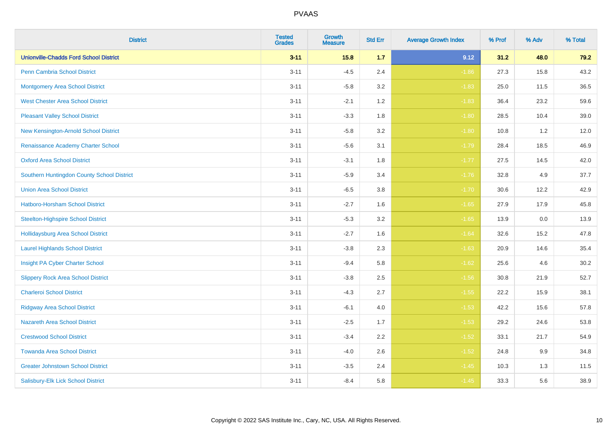| <b>District</b>                               | <b>Tested</b><br><b>Grades</b> | <b>Growth</b><br><b>Measure</b> | <b>Std Err</b> | <b>Average Growth Index</b> | % Prof | % Adv | % Total |
|-----------------------------------------------|--------------------------------|---------------------------------|----------------|-----------------------------|--------|-------|---------|
| <b>Unionville-Chadds Ford School District</b> | $3 - 11$                       | 15.8                            | 1.7            | 9.12                        | 31.2   | 48.0  | 79.2    |
| Penn Cambria School District                  | $3 - 11$                       | $-4.5$                          | 2.4            | $-1.86$                     | 27.3   | 15.8  | 43.2    |
| <b>Montgomery Area School District</b>        | $3 - 11$                       | $-5.8$                          | 3.2            | $-1.83$                     | 25.0   | 11.5  | 36.5    |
| <b>West Chester Area School District</b>      | $3 - 11$                       | $-2.1$                          | 1.2            | $-1.83$                     | 36.4   | 23.2  | 59.6    |
| <b>Pleasant Valley School District</b>        | $3 - 11$                       | $-3.3$                          | 1.8            | $-1.80$                     | 28.5   | 10.4  | 39.0    |
| New Kensington-Arnold School District         | $3 - 11$                       | $-5.8$                          | 3.2            | $-1.80$                     | 10.8   | 1.2   | 12.0    |
| Renaissance Academy Charter School            | $3 - 11$                       | $-5.6$                          | 3.1            | $-1.79$                     | 28.4   | 18.5  | 46.9    |
| <b>Oxford Area School District</b>            | $3 - 11$                       | $-3.1$                          | 1.8            | $-1.77$                     | 27.5   | 14.5  | 42.0    |
| Southern Huntingdon County School District    | $3 - 11$                       | $-5.9$                          | 3.4            | $-1.76$                     | 32.8   | 4.9   | 37.7    |
| <b>Union Area School District</b>             | $3 - 11$                       | $-6.5$                          | 3.8            | $-1.70$                     | 30.6   | 12.2  | 42.9    |
| Hatboro-Horsham School District               | $3 - 11$                       | $-2.7$                          | 1.6            | $-1.65$                     | 27.9   | 17.9  | 45.8    |
| <b>Steelton-Highspire School District</b>     | $3 - 11$                       | $-5.3$                          | 3.2            | $-1.65$                     | 13.9   | 0.0   | 13.9    |
| <b>Hollidaysburg Area School District</b>     | $3 - 11$                       | $-2.7$                          | 1.6            | $-1.64$                     | 32.6   | 15.2  | 47.8    |
| <b>Laurel Highlands School District</b>       | $3 - 11$                       | $-3.8$                          | 2.3            | $-1.63$                     | 20.9   | 14.6  | 35.4    |
| Insight PA Cyber Charter School               | $3 - 11$                       | $-9.4$                          | 5.8            | $-1.62$                     | 25.6   | 4.6   | 30.2    |
| <b>Slippery Rock Area School District</b>     | $3 - 11$                       | $-3.8$                          | 2.5            | $-1.56$                     | 30.8   | 21.9  | 52.7    |
| <b>Charleroi School District</b>              | $3 - 11$                       | $-4.3$                          | 2.7            | $-1.55$                     | 22.2   | 15.9  | 38.1    |
| <b>Ridgway Area School District</b>           | $3 - 11$                       | $-6.1$                          | 4.0            | $-1.53$                     | 42.2   | 15.6  | 57.8    |
| <b>Nazareth Area School District</b>          | $3 - 11$                       | $-2.5$                          | 1.7            | $-1.53$                     | 29.2   | 24.6  | 53.8    |
| <b>Crestwood School District</b>              | $3 - 11$                       | $-3.4$                          | 2.2            | $-1.52$                     | 33.1   | 21.7  | 54.9    |
| <b>Towanda Area School District</b>           | $3 - 11$                       | $-4.0$                          | 2.6            | $-1.52$                     | 24.8   | 9.9   | 34.8    |
| <b>Greater Johnstown School District</b>      | $3 - 11$                       | $-3.5$                          | 2.4            | $-1.45$                     | 10.3   | 1.3   | 11.5    |
| Salisbury-Elk Lick School District            | $3 - 11$                       | $-8.4$                          | 5.8            | $-1.45$                     | 33.3   | 5.6   | 38.9    |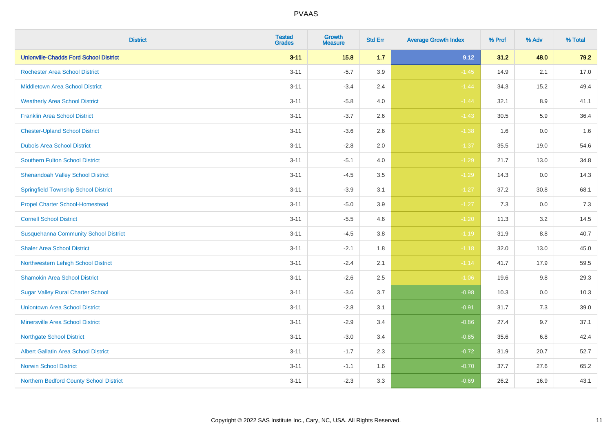| <b>District</b>                               | <b>Tested</b><br><b>Grades</b> | <b>Growth</b><br><b>Measure</b> | <b>Std Err</b> | <b>Average Growth Index</b> | % Prof | % Adv   | % Total |
|-----------------------------------------------|--------------------------------|---------------------------------|----------------|-----------------------------|--------|---------|---------|
| <b>Unionville-Chadds Ford School District</b> | $3 - 11$                       | 15.8                            | 1.7            | 9.12                        | 31.2   | 48.0    | 79.2    |
| Rochester Area School District                | $3 - 11$                       | $-5.7$                          | 3.9            | $-1.45$                     | 14.9   | 2.1     | 17.0    |
| <b>Middletown Area School District</b>        | $3 - 11$                       | $-3.4$                          | 2.4            | $-1.44$                     | 34.3   | 15.2    | 49.4    |
| <b>Weatherly Area School District</b>         | $3 - 11$                       | $-5.8$                          | 4.0            | $-1.44$                     | 32.1   | 8.9     | 41.1    |
| <b>Franklin Area School District</b>          | $3 - 11$                       | $-3.7$                          | 2.6            | $-1.43$                     | 30.5   | 5.9     | 36.4    |
| <b>Chester-Upland School District</b>         | $3 - 11$                       | $-3.6$                          | 2.6            | $-1.38$                     | 1.6    | 0.0     | 1.6     |
| <b>Dubois Area School District</b>            | $3 - 11$                       | $-2.8$                          | 2.0            | $-1.37$                     | 35.5   | 19.0    | 54.6    |
| <b>Southern Fulton School District</b>        | $3 - 11$                       | $-5.1$                          | 4.0            | $-1.29$                     | 21.7   | 13.0    | 34.8    |
| <b>Shenandoah Valley School District</b>      | $3 - 11$                       | $-4.5$                          | 3.5            | $-1.29$                     | 14.3   | 0.0     | 14.3    |
| <b>Springfield Township School District</b>   | $3 - 11$                       | $-3.9$                          | 3.1            | $-1.27$                     | 37.2   | 30.8    | 68.1    |
| <b>Propel Charter School-Homestead</b>        | $3 - 11$                       | $-5.0$                          | 3.9            | $-1.27$                     | 7.3    | 0.0     | 7.3     |
| <b>Cornell School District</b>                | $3 - 11$                       | $-5.5$                          | 4.6            | $-1.20$                     | 11.3   | 3.2     | 14.5    |
| <b>Susquehanna Community School District</b>  | $3 - 11$                       | $-4.5$                          | $3.8\,$        | $-1.19$                     | 31.9   | $8.8\,$ | 40.7    |
| <b>Shaler Area School District</b>            | $3 - 11$                       | $-2.1$                          | 1.8            | $-1.18$                     | 32.0   | 13.0    | 45.0    |
| Northwestern Lehigh School District           | $3 - 11$                       | $-2.4$                          | 2.1            | $-1.14$                     | 41.7   | 17.9    | 59.5    |
| <b>Shamokin Area School District</b>          | $3 - 11$                       | $-2.6$                          | 2.5            | $-1.06$                     | 19.6   | $9.8\,$ | 29.3    |
| <b>Sugar Valley Rural Charter School</b>      | $3 - 11$                       | $-3.6$                          | 3.7            | $-0.98$                     | 10.3   | 0.0     | 10.3    |
| <b>Uniontown Area School District</b>         | $3 - 11$                       | $-2.8$                          | 3.1            | $-0.91$                     | 31.7   | 7.3     | 39.0    |
| <b>Minersville Area School District</b>       | $3 - 11$                       | $-2.9$                          | 3.4            | $-0.86$                     | 27.4   | 9.7     | 37.1    |
| <b>Northgate School District</b>              | $3 - 11$                       | $-3.0$                          | 3.4            | $-0.85$                     | 35.6   | 6.8     | 42.4    |
| <b>Albert Gallatin Area School District</b>   | $3 - 11$                       | $-1.7$                          | 2.3            | $-0.72$                     | 31.9   | 20.7    | 52.7    |
| <b>Norwin School District</b>                 | $3 - 11$                       | $-1.1$                          | 1.6            | $-0.70$                     | 37.7   | 27.6    | 65.2    |
| Northern Bedford County School District       | $3 - 11$                       | $-2.3$                          | 3.3            | $-0.69$                     | 26.2   | 16.9    | 43.1    |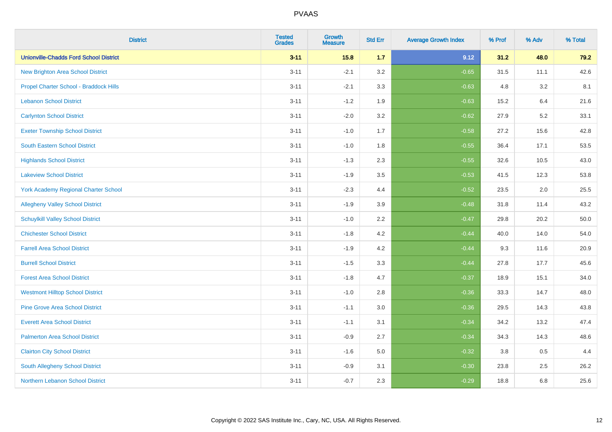| <b>District</b>                               | <b>Tested</b><br><b>Grades</b> | <b>Growth</b><br><b>Measure</b> | <b>Std Err</b> | <b>Average Growth Index</b> | % Prof | % Adv   | % Total |
|-----------------------------------------------|--------------------------------|---------------------------------|----------------|-----------------------------|--------|---------|---------|
| <b>Unionville-Chadds Ford School District</b> | $3 - 11$                       | 15.8                            | 1.7            | 9.12                        | 31.2   | 48.0    | 79.2    |
| <b>New Brighton Area School District</b>      | $3 - 11$                       | $-2.1$                          | 3.2            | $-0.65$                     | 31.5   | 11.1    | 42.6    |
| Propel Charter School - Braddock Hills        | $3 - 11$                       | $-2.1$                          | 3.3            | $-0.63$                     | 4.8    | 3.2     | 8.1     |
| <b>Lebanon School District</b>                | $3 - 11$                       | $-1.2$                          | 1.9            | $-0.63$                     | 15.2   | 6.4     | 21.6    |
| <b>Carlynton School District</b>              | $3 - 11$                       | $-2.0$                          | 3.2            | $-0.62$                     | 27.9   | 5.2     | 33.1    |
| <b>Exeter Township School District</b>        | $3 - 11$                       | $-1.0$                          | 1.7            | $-0.58$                     | 27.2   | 15.6    | 42.8    |
| <b>South Eastern School District</b>          | $3 - 11$                       | $-1.0$                          | 1.8            | $-0.55$                     | 36.4   | 17.1    | 53.5    |
| <b>Highlands School District</b>              | $3 - 11$                       | $-1.3$                          | 2.3            | $-0.55$                     | 32.6   | 10.5    | 43.0    |
| <b>Lakeview School District</b>               | $3 - 11$                       | $-1.9$                          | 3.5            | $-0.53$                     | 41.5   | 12.3    | 53.8    |
| York Academy Regional Charter School          | $3 - 11$                       | $-2.3$                          | 4.4            | $-0.52$                     | 23.5   | $2.0\,$ | 25.5    |
| <b>Allegheny Valley School District</b>       | $3 - 11$                       | $-1.9$                          | 3.9            | $-0.48$                     | 31.8   | 11.4    | 43.2    |
| <b>Schuylkill Valley School District</b>      | $3 - 11$                       | $-1.0$                          | 2.2            | $-0.47$                     | 29.8   | 20.2    | 50.0    |
| <b>Chichester School District</b>             | $3 - 11$                       | $-1.8$                          | 4.2            | $-0.44$                     | 40.0   | 14.0    | 54.0    |
| <b>Farrell Area School District</b>           | $3 - 11$                       | $-1.9$                          | 4.2            | $-0.44$                     | 9.3    | 11.6    | 20.9    |
| <b>Burrell School District</b>                | $3 - 11$                       | $-1.5$                          | 3.3            | $-0.44$                     | 27.8   | 17.7    | 45.6    |
| <b>Forest Area School District</b>            | $3 - 11$                       | $-1.8$                          | 4.7            | $-0.37$                     | 18.9   | 15.1    | 34.0    |
| <b>Westmont Hilltop School District</b>       | $3 - 11$                       | $-1.0$                          | 2.8            | $-0.36$                     | 33.3   | 14.7    | 48.0    |
| <b>Pine Grove Area School District</b>        | $3 - 11$                       | $-1.1$                          | 3.0            | $-0.36$                     | 29.5   | 14.3    | 43.8    |
| <b>Everett Area School District</b>           | $3 - 11$                       | $-1.1$                          | 3.1            | $-0.34$                     | 34.2   | 13.2    | 47.4    |
| <b>Palmerton Area School District</b>         | $3 - 11$                       | $-0.9$                          | 2.7            | $-0.34$                     | 34.3   | 14.3    | 48.6    |
| <b>Clairton City School District</b>          | $3 - 11$                       | $-1.6$                          | 5.0            | $-0.32$                     | 3.8    | 0.5     | 4.4     |
| South Allegheny School District               | $3 - 11$                       | $-0.9$                          | 3.1            | $-0.30$                     | 23.8   | 2.5     | 26.2    |
| Northern Lebanon School District              | $3 - 11$                       | $-0.7$                          | 2.3            | $-0.29$                     | 18.8   | 6.8     | 25.6    |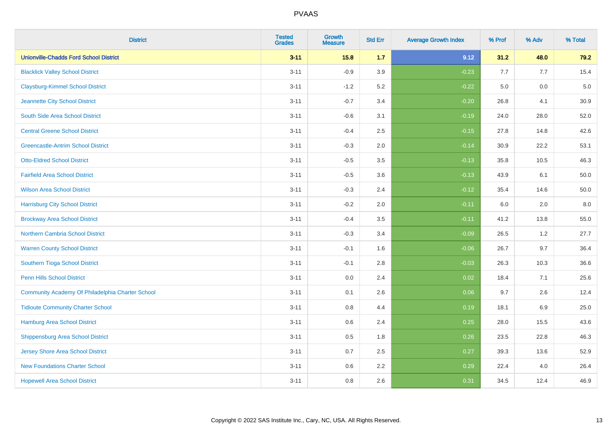| <b>District</b>                                  | <b>Tested</b><br><b>Grades</b> | <b>Growth</b><br><b>Measure</b> | <b>Std Err</b> | <b>Average Growth Index</b> | % Prof | % Adv | % Total  |
|--------------------------------------------------|--------------------------------|---------------------------------|----------------|-----------------------------|--------|-------|----------|
| <b>Unionville-Chadds Ford School District</b>    | $3 - 11$                       | 15.8                            | 1.7            | 9.12                        | 31.2   | 48.0  | 79.2     |
| <b>Blacklick Valley School District</b>          | $3 - 11$                       | $-0.9$                          | 3.9            | $-0.23$                     | 7.7    | 7.7   | 15.4     |
| <b>Claysburg-Kimmel School District</b>          | $3 - 11$                       | $-1.2$                          | 5.2            | $-0.22$                     | 5.0    | 0.0   | $5.0\,$  |
| Jeannette City School District                   | $3 - 11$                       | $-0.7$                          | 3.4            | $-0.20$                     | 26.8   | 4.1   | 30.9     |
| South Side Area School District                  | $3 - 11$                       | $-0.6$                          | 3.1            | $-0.19$                     | 24.0   | 28.0  | 52.0     |
| <b>Central Greene School District</b>            | $3 - 11$                       | $-0.4$                          | 2.5            | $-0.15$                     | 27.8   | 14.8  | 42.6     |
| <b>Greencastle-Antrim School District</b>        | $3 - 11$                       | $-0.3$                          | 2.0            | $-0.14$                     | 30.9   | 22.2  | 53.1     |
| <b>Otto-Eldred School District</b>               | $3 - 11$                       | $-0.5$                          | 3.5            | $-0.13$                     | 35.8   | 10.5  | 46.3     |
| <b>Fairfield Area School District</b>            | $3 - 11$                       | $-0.5$                          | 3.6            | $-0.13$                     | 43.9   | 6.1   | 50.0     |
| <b>Wilson Area School District</b>               | $3 - 11$                       | $-0.3$                          | 2.4            | $-0.12$                     | 35.4   | 14.6  | $50.0\,$ |
| <b>Harrisburg City School District</b>           | $3 - 11$                       | $-0.2$                          | 2.0            | $-0.11$                     | 6.0    | 2.0   | 8.0      |
| <b>Brockway Area School District</b>             | $3 - 11$                       | $-0.4$                          | 3.5            | $-0.11$                     | 41.2   | 13.8  | 55.0     |
| Northern Cambria School District                 | $3 - 11$                       | $-0.3$                          | 3.4            | $-0.09$                     | 26.5   | $1.2$ | 27.7     |
| <b>Warren County School District</b>             | $3 - 11$                       | $-0.1$                          | 1.6            | $-0.06$                     | 26.7   | 9.7   | 36.4     |
| Southern Tioga School District                   | $3 - 11$                       | $-0.1$                          | 2.8            | $-0.03$                     | 26.3   | 10.3  | 36.6     |
| <b>Penn Hills School District</b>                | $3 - 11$                       | 0.0                             | 2.4            | 0.02                        | 18.4   | 7.1   | 25.6     |
| Community Academy Of Philadelphia Charter School | $3 - 11$                       | 0.1                             | 2.6            | 0.06                        | 9.7    | 2.6   | 12.4     |
| <b>Tidioute Community Charter School</b>         | $3 - 11$                       | 0.8                             | 4.4            | 0.19                        | 18.1   | 6.9   | 25.0     |
| <b>Hamburg Area School District</b>              | $3 - 11$                       | 0.6                             | 2.4            | 0.25                        | 28.0   | 15.5  | 43.6     |
| <b>Shippensburg Area School District</b>         | $3 - 11$                       | 0.5                             | 1.8            | 0.26                        | 23.5   | 22.8  | 46.3     |
| <b>Jersey Shore Area School District</b>         | $3 - 11$                       | 0.7                             | 2.5            | 0.27                        | 39.3   | 13.6  | 52.9     |
| <b>New Foundations Charter School</b>            | $3 - 11$                       | 0.6                             | 2.2            | 0.29                        | 22.4   | 4.0   | 26.4     |
| <b>Hopewell Area School District</b>             | $3 - 11$                       | 0.8                             | 2.6            | 0.31                        | 34.5   | 12.4  | 46.9     |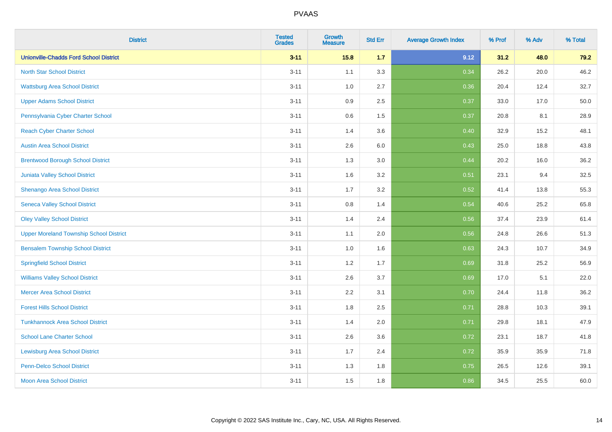| <b>District</b>                                | <b>Tested</b><br><b>Grades</b> | Growth<br><b>Measure</b> | <b>Std Err</b> | <b>Average Growth Index</b> | % Prof | % Adv | % Total |
|------------------------------------------------|--------------------------------|--------------------------|----------------|-----------------------------|--------|-------|---------|
| <b>Unionville-Chadds Ford School District</b>  | $3 - 11$                       | 15.8                     | 1.7            | 9.12                        | 31.2   | 48.0  | 79.2    |
| <b>North Star School District</b>              | $3 - 11$                       | 1.1                      | 3.3            | 0.34                        | 26.2   | 20.0  | 46.2    |
| <b>Wattsburg Area School District</b>          | $3 - 11$                       | 1.0                      | 2.7            | 0.36                        | 20.4   | 12.4  | 32.7    |
| <b>Upper Adams School District</b>             | $3 - 11$                       | 0.9                      | 2.5            | 0.37                        | 33.0   | 17.0  | 50.0    |
| Pennsylvania Cyber Charter School              | $3 - 11$                       | 0.6                      | 1.5            | 0.37                        | 20.8   | 8.1   | 28.9    |
| <b>Reach Cyber Charter School</b>              | $3 - 11$                       | 1.4                      | 3.6            | 0.40                        | 32.9   | 15.2  | 48.1    |
| <b>Austin Area School District</b>             | $3 - 11$                       | 2.6                      | 6.0            | 0.43                        | 25.0   | 18.8  | 43.8    |
| <b>Brentwood Borough School District</b>       | $3 - 11$                       | 1.3                      | 3.0            | 0.44                        | 20.2   | 16.0  | 36.2    |
| Juniata Valley School District                 | $3 - 11$                       | 1.6                      | 3.2            | 0.51                        | 23.1   | 9.4   | 32.5    |
| Shenango Area School District                  | $3 - 11$                       | 1.7                      | 3.2            | 0.52                        | 41.4   | 13.8  | 55.3    |
| <b>Seneca Valley School District</b>           | $3 - 11$                       | $0.8\,$                  | 1.4            | 0.54                        | 40.6   | 25.2  | 65.8    |
| <b>Oley Valley School District</b>             | $3 - 11$                       | 1.4                      | 2.4            | 0.56                        | 37.4   | 23.9  | 61.4    |
| <b>Upper Moreland Township School District</b> | $3 - 11$                       | 1.1                      | 2.0            | 0.56                        | 24.8   | 26.6  | 51.3    |
| <b>Bensalem Township School District</b>       | $3 - 11$                       | 1.0                      | 1.6            | 0.63                        | 24.3   | 10.7  | 34.9    |
| <b>Springfield School District</b>             | $3 - 11$                       | 1.2                      | 1.7            | 0.69                        | 31.8   | 25.2  | 56.9    |
| <b>Williams Valley School District</b>         | $3 - 11$                       | 2.6                      | 3.7            | 0.69                        | 17.0   | 5.1   | 22.0    |
| <b>Mercer Area School District</b>             | $3 - 11$                       | 2.2                      | 3.1            | 0.70                        | 24.4   | 11.8  | 36.2    |
| <b>Forest Hills School District</b>            | $3 - 11$                       | 1.8                      | 2.5            | 0.71                        | 28.8   | 10.3  | 39.1    |
| <b>Tunkhannock Area School District</b>        | $3 - 11$                       | 1.4                      | 2.0            | 0.71                        | 29.8   | 18.1  | 47.9    |
| <b>School Lane Charter School</b>              | $3 - 11$                       | 2.6                      | 3.6            | 0.72                        | 23.1   | 18.7  | 41.8    |
| <b>Lewisburg Area School District</b>          | $3 - 11$                       | 1.7                      | 2.4            | 0.72                        | 35.9   | 35.9  | 71.8    |
| <b>Penn-Delco School District</b>              | $3 - 11$                       | 1.3                      | 1.8            | 0.75                        | 26.5   | 12.6  | 39.1    |
| <b>Moon Area School District</b>               | $3 - 11$                       | 1.5                      | 1.8            | 0.86                        | 34.5   | 25.5  | 60.0    |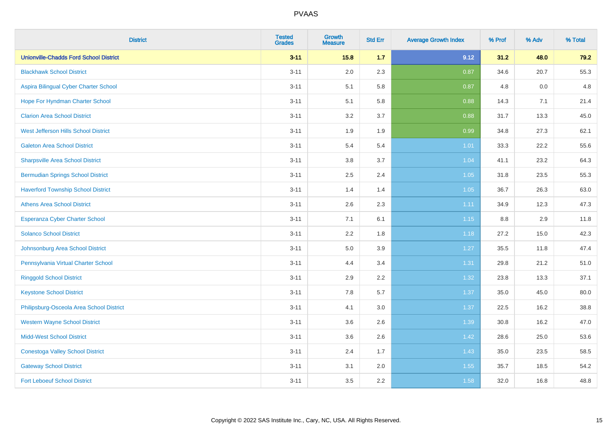| <b>District</b>                               | <b>Tested</b><br><b>Grades</b> | <b>Growth</b><br><b>Measure</b> | <b>Std Err</b> | <b>Average Growth Index</b> | % Prof | % Adv | % Total |
|-----------------------------------------------|--------------------------------|---------------------------------|----------------|-----------------------------|--------|-------|---------|
| <b>Unionville-Chadds Ford School District</b> | $3 - 11$                       | 15.8                            | 1.7            | 9.12                        | 31.2   | 48.0  | 79.2    |
| <b>Blackhawk School District</b>              | $3 - 11$                       | 2.0                             | 2.3            | 0.87                        | 34.6   | 20.7  | 55.3    |
| Aspira Bilingual Cyber Charter School         | $3 - 11$                       | 5.1                             | 5.8            | 0.87                        | 4.8    | 0.0   | 4.8     |
| Hope For Hyndman Charter School               | $3 - 11$                       | 5.1                             | 5.8            | 0.88                        | 14.3   | 7.1   | 21.4    |
| <b>Clarion Area School District</b>           | $3 - 11$                       | 3.2                             | 3.7            | 0.88                        | 31.7   | 13.3  | 45.0    |
| West Jefferson Hills School District          | $3 - 11$                       | 1.9                             | 1.9            | 0.99                        | 34.8   | 27.3  | 62.1    |
| <b>Galeton Area School District</b>           | $3 - 11$                       | 5.4                             | 5.4            | $1.01$                      | 33.3   | 22.2  | 55.6    |
| <b>Sharpsville Area School District</b>       | $3 - 11$                       | 3.8                             | 3.7            | 1.04                        | 41.1   | 23.2  | 64.3    |
| <b>Bermudian Springs School District</b>      | $3 - 11$                       | 2.5                             | 2.4            | 1.05                        | 31.8   | 23.5  | 55.3    |
| <b>Haverford Township School District</b>     | $3 - 11$                       | 1.4                             | 1.4            | 1.05                        | 36.7   | 26.3  | 63.0    |
| <b>Athens Area School District</b>            | $3 - 11$                       | 2.6                             | 2.3            | 1.11                        | 34.9   | 12.3  | 47.3    |
| Esperanza Cyber Charter School                | $3 - 11$                       | 7.1                             | 6.1            | 1.15                        | 8.8    | 2.9   | 11.8    |
| <b>Solanco School District</b>                | $3 - 11$                       | 2.2                             | 1.8            | 1.18                        | 27.2   | 15.0  | 42.3    |
| Johnsonburg Area School District              | $3 - 11$                       | 5.0                             | 3.9            | 1.27                        | 35.5   | 11.8  | 47.4    |
| Pennsylvania Virtual Charter School           | $3 - 11$                       | 4.4                             | 3.4            | 1.31                        | 29.8   | 21.2  | 51.0    |
| <b>Ringgold School District</b>               | $3 - 11$                       | 2.9                             | 2.2            | 1.32                        | 23.8   | 13.3  | 37.1    |
| <b>Keystone School District</b>               | $3 - 11$                       | 7.8                             | 5.7            | 1.37                        | 35.0   | 45.0  | 80.0    |
| Philipsburg-Osceola Area School District      | $3 - 11$                       | 4.1                             | 3.0            | 1.37                        | 22.5   | 16.2  | 38.8    |
| <b>Western Wayne School District</b>          | $3 - 11$                       | 3.6                             | 2.6            | 1.39                        | 30.8   | 16.2  | 47.0    |
| <b>Midd-West School District</b>              | $3 - 11$                       | 3.6                             | 2.6            | 1.42                        | 28.6   | 25.0  | 53.6    |
| <b>Conestoga Valley School District</b>       | $3 - 11$                       | 2.4                             | 1.7            | 1.43                        | 35.0   | 23.5  | 58.5    |
| <b>Gateway School District</b>                | $3 - 11$                       | 3.1                             | 2.0            | 1.55                        | 35.7   | 18.5  | 54.2    |
| <b>Fort Leboeuf School District</b>           | $3 - 11$                       | 3.5                             | 2.2            | 1.58                        | 32.0   | 16.8  | 48.8    |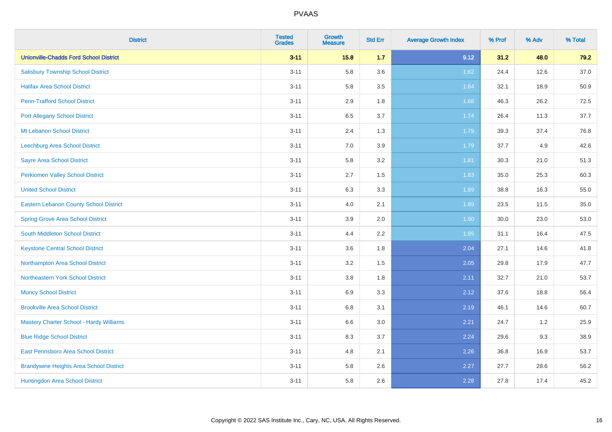| <b>District</b>                                | <b>Tested</b><br><b>Grades</b> | <b>Growth</b><br><b>Measure</b> | <b>Std Err</b> | <b>Average Growth Index</b> | % Prof | % Adv | % Total |
|------------------------------------------------|--------------------------------|---------------------------------|----------------|-----------------------------|--------|-------|---------|
| <b>Unionville-Chadds Ford School District</b>  | $3 - 11$                       | 15.8                            | 1.7            | 9.12                        | 31.2   | 48.0  | 79.2    |
| <b>Salisbury Township School District</b>      | $3 - 11$                       | 5.8                             | 3.6            | 1.62                        | 24.4   | 12.6  | 37.0    |
| <b>Halifax Area School District</b>            | $3 - 11$                       | 5.8                             | 3.5            | 1.64                        | 32.1   | 18.9  | 50.9    |
| <b>Penn-Trafford School District</b>           | $3 - 11$                       | 2.9                             | 1.8            | 1.68                        | 46.3   | 26.2  | 72.5    |
| <b>Port Allegany School District</b>           | $3 - 11$                       | 6.5                             | 3.7            | 1.74                        | 26.4   | 11.3  | 37.7    |
| Mt Lebanon School District                     | $3 - 11$                       | 2.4                             | 1.3            | 1.79                        | 39.3   | 37.4  | 76.8    |
| Leechburg Area School District                 | $3 - 11$                       | 7.0                             | 3.9            | 1.79                        | 37.7   | 4.9   | 42.6    |
| <b>Sayre Area School District</b>              | $3 - 11$                       | 5.8                             | 3.2            | 1.81                        | 30.3   | 21.0  | 51.3    |
| <b>Perkiomen Valley School District</b>        | $3 - 11$                       | 2.7                             | 1.5            | 1.83                        | 35.0   | 25.3  | 60.3    |
| <b>United School District</b>                  | $3 - 11$                       | 6.3                             | 3.3            | 1.89                        | 38.8   | 16.3  | 55.0    |
| Eastern Lebanon County School District         | $3 - 11$                       | 4.0                             | 2.1            | 1.89                        | 23.5   | 11.5  | 35.0    |
| <b>Spring Grove Area School District</b>       | $3 - 11$                       | 3.9                             | 2.0            | 1.90                        | 30.0   | 23.0  | 53.0    |
| South Middleton School District                | $3 - 11$                       | 4.4                             | 2.2            | 1.95                        | 31.1   | 16.4  | 47.5    |
| <b>Keystone Central School District</b>        | $3 - 11$                       | 3.6                             | 1.8            | 2.04                        | 27.1   | 14.6  | 41.8    |
| Northampton Area School District               | $3 - 11$                       | 3.2                             | 1.5            | 2.05                        | 29.8   | 17.9  | 47.7    |
| Northeastern York School District              | $3 - 11$                       | 3.8                             | 1.8            | 2.11                        | 32.7   | 21.0  | 53.7    |
| <b>Muncy School District</b>                   | $3 - 11$                       | 6.9                             | 3.3            | 2.12                        | 37.6   | 18.8  | 56.4    |
| <b>Brookville Area School District</b>         | $3 - 11$                       | 6.8                             | 3.1            | 2.19                        | 46.1   | 14.6  | 60.7    |
| Mastery Charter School - Hardy Williams        | $3 - 11$                       | 6.6                             | 3.0            | 2.21                        | 24.7   | $1.2$ | 25.9    |
| <b>Blue Ridge School District</b>              | $3 - 11$                       | 8.3                             | 3.7            | 2.24                        | 29.6   | 9.3   | 38.9    |
| East Pennsboro Area School District            | $3 - 11$                       | 4.8                             | 2.1            | 2.26                        | 36.8   | 16.9  | 53.7    |
| <b>Brandywine Heights Area School District</b> | $3 - 11$                       | 5.8                             | 2.6            | 2.27                        | 27.7   | 28.6  | 56.2    |
| Huntingdon Area School District                | $3 - 11$                       | 5.8                             | 2.6            | 2.28                        | 27.8   | 17.4  | 45.2    |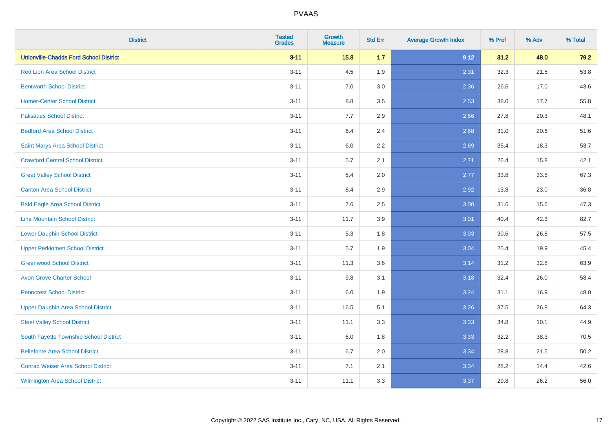| <b>District</b>                               | <b>Tested</b><br><b>Grades</b> | <b>Growth</b><br><b>Measure</b> | <b>Std Err</b> | <b>Average Growth Index</b> | % Prof | % Adv | % Total |
|-----------------------------------------------|--------------------------------|---------------------------------|----------------|-----------------------------|--------|-------|---------|
| <b>Unionville-Chadds Ford School District</b> | $3 - 11$                       | 15.8                            | 1.7            | 9.12                        | 31.2   | 48.0  | 79.2    |
| <b>Red Lion Area School District</b>          | $3 - 11$                       | 4.5                             | 1.9            | 2.31                        | 32.3   | 21.5  | 53.8    |
| <b>Bentworth School District</b>              | $3 - 11$                       | 7.0                             | 3.0            | 2.36                        | 26.6   | 17.0  | 43.6    |
| <b>Homer-Center School District</b>           | $3 - 11$                       | 8.8                             | 3.5            | 2.53                        | 38.0   | 17.7  | 55.8    |
| <b>Palisades School District</b>              | $3 - 11$                       | 7.7                             | 2.9            | 2.66                        | 27.8   | 20.3  | 48.1    |
| <b>Bedford Area School District</b>           | $3 - 11$                       | 6.4                             | 2.4            | 2.68                        | 31.0   | 20.6  | 51.6    |
| Saint Marys Area School District              | $3 - 11$                       | 6.0                             | 2.2            | 2.69                        | 35.4   | 18.3  | 53.7    |
| <b>Crawford Central School District</b>       | $3 - 11$                       | 5.7                             | 2.1            | 2.71                        | 26.4   | 15.8  | 42.1    |
| <b>Great Valley School District</b>           | $3 - 11$                       | 5.4                             | 2.0            | 2.77                        | 33.8   | 33.5  | 67.3    |
| <b>Canton Area School District</b>            | $3 - 11$                       | 8.4                             | 2.9            | 2.92                        | 13.8   | 23.0  | 36.8    |
| <b>Bald Eagle Area School District</b>        | $3 - 11$                       | 7.6                             | 2.5            | 3.00                        | 31.6   | 15.6  | 47.3    |
| <b>Line Mountain School District</b>          | $3 - 11$                       | 11.7                            | 3.9            | 3.01                        | 40.4   | 42.3  | 82.7    |
| <b>Lower Dauphin School District</b>          | $3 - 11$                       | 5.3                             | 1.8            | 3.03                        | 30.6   | 26.8  | 57.5    |
| <b>Upper Perkiomen School District</b>        | $3 - 11$                       | 5.7                             | 1.9            | 3.04                        | 25.4   | 19.9  | 45.4    |
| <b>Greenwood School District</b>              | $3 - 11$                       | 11.3                            | 3.6            | 3.14                        | 31.2   | 32.8  | 63.9    |
| <b>Avon Grove Charter School</b>              | $3 - 11$                       | $9.8\,$                         | 3.1            | 3.18                        | 32.4   | 26.0  | 58.4    |
| <b>Penncrest School District</b>              | $3 - 11$                       | 6.0                             | 1.9            | 3.24                        | 31.1   | 16.9  | 48.0    |
| <b>Upper Dauphin Area School District</b>     | $3 - 11$                       | 16.5                            | 5.1            | 3.26                        | 37.5   | 26.8  | 64.3    |
| <b>Steel Valley School District</b>           | $3 - 11$                       | 11.1                            | 3.3            | 3.33                        | 34.8   | 10.1  | 44.9    |
| South Fayette Township School District        | $3 - 11$                       | 6.0                             | 1.8            | 3.33                        | 32.2   | 38.3  | 70.5    |
| <b>Bellefonte Area School District</b>        | $3 - 11$                       | 6.7                             | 2.0            | 3.34                        | 28.8   | 21.5  | 50.2    |
| <b>Conrad Weiser Area School District</b>     | $3 - 11$                       | 7.1                             | 2.1            | 3.34                        | 28.2   | 14.4  | 42.6    |
| <b>Wilmington Area School District</b>        | $3 - 11$                       | 11.1                            | 3.3            | 3.37                        | 29.8   | 26.2  | 56.0    |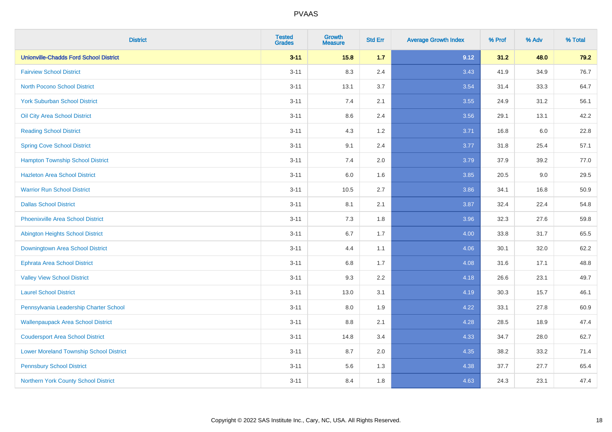| <b>District</b>                                | <b>Tested</b><br><b>Grades</b> | <b>Growth</b><br><b>Measure</b> | <b>Std Err</b> | <b>Average Growth Index</b> | % Prof | % Adv | % Total |
|------------------------------------------------|--------------------------------|---------------------------------|----------------|-----------------------------|--------|-------|---------|
| <b>Unionville-Chadds Ford School District</b>  | $3 - 11$                       | 15.8                            | 1.7            | 9.12                        | 31.2   | 48.0  | 79.2    |
| <b>Fairview School District</b>                | $3 - 11$                       | 8.3                             | 2.4            | 3.43                        | 41.9   | 34.9  | 76.7    |
| North Pocono School District                   | $3 - 11$                       | 13.1                            | 3.7            | 3.54                        | 31.4   | 33.3  | 64.7    |
| <b>York Suburban School District</b>           | $3 - 11$                       | 7.4                             | 2.1            | 3.55                        | 24.9   | 31.2  | 56.1    |
| Oil City Area School District                  | $3 - 11$                       | 8.6                             | 2.4            | 3.56                        | 29.1   | 13.1  | 42.2    |
| <b>Reading School District</b>                 | $3 - 11$                       | 4.3                             | 1.2            | 3.71                        | 16.8   | 6.0   | 22.8    |
| <b>Spring Cove School District</b>             | $3 - 11$                       | 9.1                             | 2.4            | 3.77                        | 31.8   | 25.4  | 57.1    |
| <b>Hampton Township School District</b>        | $3 - 11$                       | 7.4                             | 2.0            | 3.79                        | 37.9   | 39.2  | 77.0    |
| <b>Hazleton Area School District</b>           | $3 - 11$                       | 6.0                             | 1.6            | 3.85                        | 20.5   | 9.0   | 29.5    |
| <b>Warrior Run School District</b>             | $3 - 11$                       | 10.5                            | 2.7            | 3.86                        | 34.1   | 16.8  | 50.9    |
| <b>Dallas School District</b>                  | $3 - 11$                       | 8.1                             | 2.1            | 3.87                        | 32.4   | 22.4  | 54.8    |
| Phoenixville Area School District              | $3 - 11$                       | 7.3                             | 1.8            | 3.96                        | 32.3   | 27.6  | 59.8    |
| Abington Heights School District               | $3 - 11$                       | $6.7\,$                         | 1.7            | 4.00                        | 33.8   | 31.7  | 65.5    |
| Downingtown Area School District               | $3 - 11$                       | 4.4                             | 1.1            | 4.06                        | 30.1   | 32.0  | 62.2    |
| <b>Ephrata Area School District</b>            | $3 - 11$                       | 6.8                             | 1.7            | 4.08                        | 31.6   | 17.1  | 48.8    |
| <b>Valley View School District</b>             | $3 - 11$                       | 9.3                             | 2.2            | 4.18                        | 26.6   | 23.1  | 49.7    |
| <b>Laurel School District</b>                  | $3 - 11$                       | 13.0                            | 3.1            | 4.19                        | 30.3   | 15.7  | 46.1    |
| Pennsylvania Leadership Charter School         | $3 - 11$                       | 8.0                             | 1.9            | 4.22                        | 33.1   | 27.8  | 60.9    |
| <b>Wallenpaupack Area School District</b>      | $3 - 11$                       | $8.8\,$                         | 2.1            | 4.28                        | 28.5   | 18.9  | 47.4    |
| <b>Coudersport Area School District</b>        | $3 - 11$                       | 14.8                            | 3.4            | 4.33                        | 34.7   | 28.0  | 62.7    |
| <b>Lower Moreland Township School District</b> | $3 - 11$                       | 8.7                             | 2.0            | 4.35                        | 38.2   | 33.2  | 71.4    |
| <b>Pennsbury School District</b>               | $3 - 11$                       | 5.6                             | 1.3            | 4.38                        | 37.7   | 27.7  | 65.4    |
| Northern York County School District           | $3 - 11$                       | 8.4                             | 1.8            | 4.63                        | 24.3   | 23.1  | 47.4    |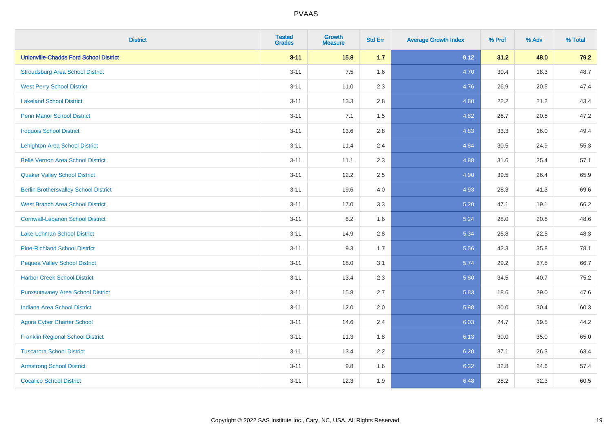| <b>District</b>                               | <b>Tested</b><br><b>Grades</b> | <b>Growth</b><br><b>Measure</b> | <b>Std Err</b> | <b>Average Growth Index</b> | % Prof | % Adv | % Total |
|-----------------------------------------------|--------------------------------|---------------------------------|----------------|-----------------------------|--------|-------|---------|
| <b>Unionville-Chadds Ford School District</b> | $3 - 11$                       | 15.8                            | $1.7$          | 9.12                        | 31.2   | 48.0  | 79.2    |
| <b>Stroudsburg Area School District</b>       | $3 - 11$                       | 7.5                             | 1.6            | 4.70                        | 30.4   | 18.3  | 48.7    |
| <b>West Perry School District</b>             | $3 - 11$                       | 11.0                            | 2.3            | 4.76                        | 26.9   | 20.5  | 47.4    |
| <b>Lakeland School District</b>               | $3 - 11$                       | 13.3                            | 2.8            | 4.80                        | 22.2   | 21.2  | 43.4    |
| <b>Penn Manor School District</b>             | $3 - 11$                       | 7.1                             | 1.5            | 4.82                        | 26.7   | 20.5  | 47.2    |
| <b>Iroquois School District</b>               | $3 - 11$                       | 13.6                            | 2.8            | 4.83                        | 33.3   | 16.0  | 49.4    |
| <b>Lehighton Area School District</b>         | $3 - 11$                       | 11.4                            | 2.4            | 4.84                        | 30.5   | 24.9  | 55.3    |
| <b>Belle Vernon Area School District</b>      | $3 - 11$                       | 11.1                            | 2.3            | 4.88                        | 31.6   | 25.4  | 57.1    |
| <b>Quaker Valley School District</b>          | $3 - 11$                       | 12.2                            | 2.5            | 4.90                        | 39.5   | 26.4  | 65.9    |
| <b>Berlin Brothersvalley School District</b>  | $3 - 11$                       | 19.6                            | 4.0            | 4.93                        | 28.3   | 41.3  | 69.6    |
| <b>West Branch Area School District</b>       | $3 - 11$                       | 17.0                            | 3.3            | 5.20                        | 47.1   | 19.1  | 66.2    |
| <b>Cornwall-Lebanon School District</b>       | $3 - 11$                       | 8.2                             | 1.6            | 5.24                        | 28.0   | 20.5  | 48.6    |
| Lake-Lehman School District                   | $3 - 11$                       | 14.9                            | 2.8            | 5.34                        | 25.8   | 22.5  | 48.3    |
| <b>Pine-Richland School District</b>          | $3 - 11$                       | 9.3                             | 1.7            | 5.56                        | 42.3   | 35.8  | 78.1    |
| <b>Pequea Valley School District</b>          | $3 - 11$                       | 18.0                            | 3.1            | 5.74                        | 29.2   | 37.5  | 66.7    |
| <b>Harbor Creek School District</b>           | $3 - 11$                       | 13.4                            | 2.3            | 5.80                        | 34.5   | 40.7  | 75.2    |
| <b>Punxsutawney Area School District</b>      | $3 - 11$                       | 15.8                            | 2.7            | 5.83                        | 18.6   | 29.0  | 47.6    |
| <b>Indiana Area School District</b>           | $3 - 11$                       | 12.0                            | 2.0            | 5.98                        | 30.0   | 30.4  | 60.3    |
| <b>Agora Cyber Charter School</b>             | $3 - 11$                       | 14.6                            | 2.4            | 6.03                        | 24.7   | 19.5  | 44.2    |
| <b>Franklin Regional School District</b>      | $3 - 11$                       | 11.3                            | 1.8            | 6.13                        | 30.0   | 35.0  | 65.0    |
| <b>Tuscarora School District</b>              | $3 - 11$                       | 13.4                            | 2.2            | 6.20                        | 37.1   | 26.3  | 63.4    |
| <b>Armstrong School District</b>              | $3 - 11$                       | 9.8                             | 1.6            | 6.22                        | 32.8   | 24.6  | 57.4    |
| <b>Cocalico School District</b>               | $3 - 11$                       | 12.3                            | 1.9            | 6.48                        | 28.2   | 32.3  | 60.5    |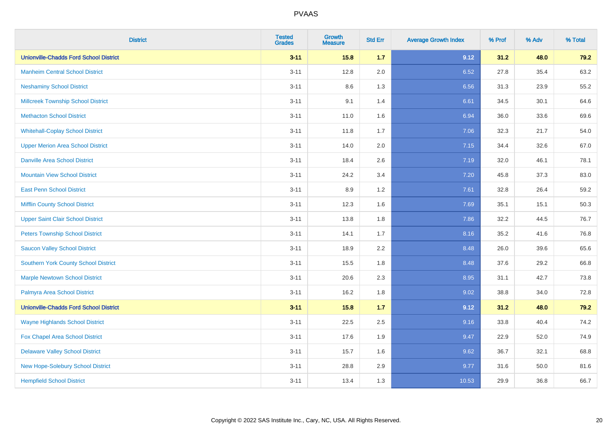| <b>District</b>                               | <b>Tested</b><br><b>Grades</b> | <b>Growth</b><br><b>Measure</b> | <b>Std Err</b> | <b>Average Growth Index</b> | % Prof | % Adv | % Total |
|-----------------------------------------------|--------------------------------|---------------------------------|----------------|-----------------------------|--------|-------|---------|
| <b>Unionville-Chadds Ford School District</b> | $3 - 11$                       | 15.8                            | 1.7            | 9.12                        | 31.2   | 48.0  | 79.2    |
| <b>Manheim Central School District</b>        | $3 - 11$                       | 12.8                            | 2.0            | 6.52                        | 27.8   | 35.4  | 63.2    |
| <b>Neshaminy School District</b>              | $3 - 11$                       | 8.6                             | 1.3            | 6.56                        | 31.3   | 23.9  | 55.2    |
| <b>Millcreek Township School District</b>     | $3 - 11$                       | 9.1                             | 1.4            | 6.61                        | 34.5   | 30.1  | 64.6    |
| <b>Methacton School District</b>              | $3 - 11$                       | 11.0                            | 1.6            | 6.94                        | 36.0   | 33.6  | 69.6    |
| <b>Whitehall-Coplay School District</b>       | $3 - 11$                       | 11.8                            | 1.7            | 7.06                        | 32.3   | 21.7  | 54.0    |
| <b>Upper Merion Area School District</b>      | $3 - 11$                       | 14.0                            | 2.0            | 7.15                        | 34.4   | 32.6  | 67.0    |
| <b>Danville Area School District</b>          | $3 - 11$                       | 18.4                            | 2.6            | 7.19                        | 32.0   | 46.1  | 78.1    |
| <b>Mountain View School District</b>          | $3 - 11$                       | 24.2                            | 3.4            | 7.20                        | 45.8   | 37.3  | 83.0    |
| <b>East Penn School District</b>              | $3 - 11$                       | 8.9                             | 1.2            | 7.61                        | 32.8   | 26.4  | 59.2    |
| <b>Mifflin County School District</b>         | $3 - 11$                       | 12.3                            | 1.6            | 7.69                        | 35.1   | 15.1  | 50.3    |
| <b>Upper Saint Clair School District</b>      | $3 - 11$                       | 13.8                            | 1.8            | 7.86                        | 32.2   | 44.5  | 76.7    |
| <b>Peters Township School District</b>        | $3 - 11$                       | 14.1                            | 1.7            | 8.16                        | 35.2   | 41.6  | 76.8    |
| <b>Saucon Valley School District</b>          | $3 - 11$                       | 18.9                            | 2.2            | 8.48                        | 26.0   | 39.6  | 65.6    |
| <b>Southern York County School District</b>   | $3 - 11$                       | 15.5                            | 1.8            | 8.48                        | 37.6   | 29.2  | 66.8    |
| <b>Marple Newtown School District</b>         | $3 - 11$                       | 20.6                            | 2.3            | 8.95                        | 31.1   | 42.7  | 73.8    |
| Palmyra Area School District                  | $3 - 11$                       | 16.2                            | 1.8            | 9.02                        | 38.8   | 34.0  | 72.8    |
| <b>Unionville-Chadds Ford School District</b> | $3 - 11$                       | 15.8                            | 1.7            | 9.12                        | 31.2   | 48.0  | 79.2    |
| <b>Wayne Highlands School District</b>        | $3 - 11$                       | 22.5                            | 2.5            | 9.16                        | 33.8   | 40.4  | 74.2    |
| Fox Chapel Area School District               | $3 - 11$                       | 17.6                            | 1.9            | 9.47                        | 22.9   | 52.0  | 74.9    |
| <b>Delaware Valley School District</b>        | $3 - 11$                       | 15.7                            | 1.6            | 9.62                        | 36.7   | 32.1  | 68.8    |
| New Hope-Solebury School District             | $3 - 11$                       | 28.8                            | 2.9            | 9.77                        | 31.6   | 50.0  | 81.6    |
| <b>Hempfield School District</b>              | $3 - 11$                       | 13.4                            | 1.3            | 10.53                       | 29.9   | 36.8  | 66.7    |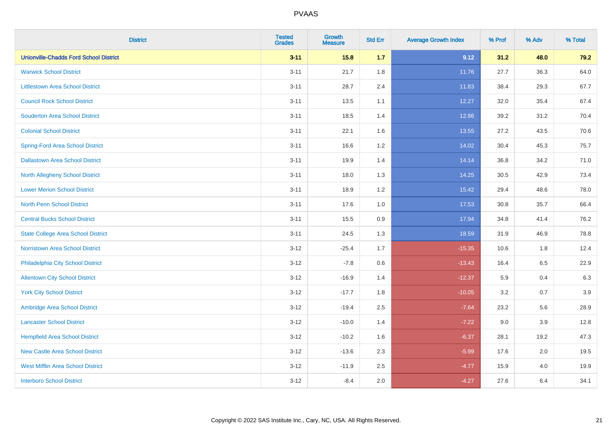| <b>District</b>                               | <b>Tested</b><br><b>Grades</b> | <b>Growth</b><br><b>Measure</b> | <b>Std Err</b> | <b>Average Growth Index</b> | % Prof | % Adv | % Total |
|-----------------------------------------------|--------------------------------|---------------------------------|----------------|-----------------------------|--------|-------|---------|
| <b>Unionville-Chadds Ford School District</b> | $3 - 11$                       | 15.8                            | 1.7            | 9.12                        | 31.2   | 48.0  | 79.2    |
| <b>Warwick School District</b>                | $3 - 11$                       | 21.7                            | 1.8            | 11.76                       | 27.7   | 36.3  | 64.0    |
| <b>Littlestown Area School District</b>       | $3 - 11$                       | 28.7                            | 2.4            | 11.83                       | 38.4   | 29.3  | 67.7    |
| <b>Council Rock School District</b>           | $3 - 11$                       | 13.5                            | 1.1            | 12.27                       | 32.0   | 35.4  | 67.4    |
| <b>Souderton Area School District</b>         | $3 - 11$                       | 18.5                            | 1.4            | 12.86                       | 39.2   | 31.2  | 70.4    |
| <b>Colonial School District</b>               | $3 - 11$                       | 22.1                            | 1.6            | 13.55                       | 27.2   | 43.5  | 70.6    |
| <b>Spring-Ford Area School District</b>       | $3 - 11$                       | 16.6                            | 1.2            | 14.02                       | 30.4   | 45.3  | 75.7    |
| <b>Dallastown Area School District</b>        | $3 - 11$                       | 19.9                            | 1.4            | 14.14                       | 36.8   | 34.2  | 71.0    |
| <b>North Allegheny School District</b>        | $3 - 11$                       | 18.0                            | 1.3            | 14.25                       | 30.5   | 42.9  | 73.4    |
| <b>Lower Merion School District</b>           | $3 - 11$                       | 18.9                            | 1.2            | 15.42                       | 29.4   | 48.6  | 78.0    |
| North Penn School District                    | $3 - 11$                       | 17.6                            | 1.0            | 17.53                       | 30.8   | 35.7  | 66.4    |
| <b>Central Bucks School District</b>          | $3 - 11$                       | 15.5                            | 0.9            | 17.94                       | 34.8   | 41.4  | 76.2    |
| <b>State College Area School District</b>     | $3 - 11$                       | 24.5                            | 1.3            | 18.59                       | 31.9   | 46.9  | 78.8    |
| Norristown Area School District               | $3-12$                         | $-25.4$                         | 1.7            | $-15.35$                    | 10.6   | 1.8   | 12.4    |
| Philadelphia City School District             | $3-12$                         | $-7.8$                          | $0.6\,$        | $-13.43$                    | 16.4   | 6.5   | 22.9    |
| <b>Allentown City School District</b>         | $3 - 12$                       | $-16.9$                         | 1.4            | $-12.37$                    | 5.9    | 0.4   | 6.3     |
| <b>York City School District</b>              | $3 - 12$                       | $-17.7$                         | 1.8            | $-10.05$                    | 3.2    | 0.7   | 3.9     |
| Ambridge Area School District                 | $3 - 12$                       | $-19.4$                         | 2.5            | $-7.64$                     | 23.2   | 5.6   | 28.9    |
| <b>Lancaster School District</b>              | $3-12$                         | $-10.0$                         | 1.4            | $-7.22$                     | 9.0    | 3.9   | 12.8    |
| <b>Hempfield Area School District</b>         | $3 - 12$                       | $-10.2$                         | 1.6            | $-6.37$                     | 28.1   | 19.2  | 47.3    |
| <b>New Castle Area School District</b>        | $3 - 12$                       | $-13.6$                         | 2.3            | $-5.99$                     | 17.6   | 2.0   | 19.5    |
| <b>West Mifflin Area School District</b>      | $3 - 12$                       | $-11.9$                         | 2.5            | $-4.77$                     | 15.9   | 4.0   | 19.9    |
| <b>Interboro School District</b>              | $3-12$                         | $-8.4$                          | 2.0            | $-4.27$                     | 27.6   | 6.4   | 34.1    |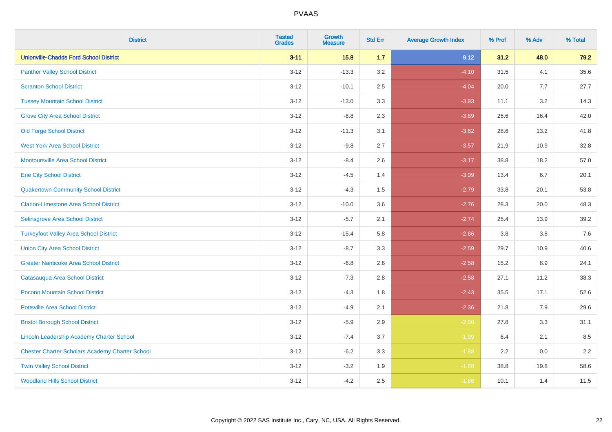| <b>District</b>                                        | <b>Tested</b><br><b>Grades</b> | <b>Growth</b><br><b>Measure</b> | <b>Std Err</b> | <b>Average Growth Index</b> | % Prof | % Adv   | % Total |
|--------------------------------------------------------|--------------------------------|---------------------------------|----------------|-----------------------------|--------|---------|---------|
| <b>Unionville-Chadds Ford School District</b>          | $3 - 11$                       | 15.8                            | 1.7            | 9.12                        | 31.2   | 48.0    | 79.2    |
| <b>Panther Valley School District</b>                  | $3 - 12$                       | $-13.3$                         | 3.2            | $-4.10$                     | 31.5   | 4.1     | 35.6    |
| <b>Scranton School District</b>                        | $3 - 12$                       | $-10.1$                         | 2.5            | $-4.04$                     | 20.0   | 7.7     | 27.7    |
| <b>Tussey Mountain School District</b>                 | $3 - 12$                       | $-13.0$                         | 3.3            | $-3.93$                     | 11.1   | 3.2     | 14.3    |
| <b>Grove City Area School District</b>                 | $3 - 12$                       | $-8.8$                          | 2.3            | $-3.89$                     | 25.6   | 16.4    | 42.0    |
| <b>Old Forge School District</b>                       | $3 - 12$                       | $-11.3$                         | 3.1            | $-3.62$                     | 28.6   | 13.2    | 41.8    |
| <b>West York Area School District</b>                  | $3 - 12$                       | $-9.8$                          | 2.7            | $-3.57$                     | 21.9   | 10.9    | 32.8    |
| <b>Montoursville Area School District</b>              | $3 - 12$                       | $-8.4$                          | 2.6            | $-3.17$                     | 38.8   | 18.2    | 57.0    |
| <b>Erie City School District</b>                       | $3 - 12$                       | $-4.5$                          | 1.4            | $-3.09$                     | 13.4   | 6.7     | 20.1    |
| <b>Quakertown Community School District</b>            | $3-12$                         | $-4.3$                          | 1.5            | $-2.79$                     | 33.8   | 20.1    | 53.8    |
| <b>Clarion-Limestone Area School District</b>          | $3-12$                         | $-10.0$                         | 3.6            | $-2.76$                     | 28.3   | 20.0    | 48.3    |
| Selinsgrove Area School District                       | $3 - 12$                       | $-5.7$                          | 2.1            | $-2.74$                     | 25.4   | 13.9    | 39.2    |
| <b>Turkeyfoot Valley Area School District</b>          | $3 - 12$                       | $-15.4$                         | 5.8            | $-2.66$                     | 3.8    | $3.8\,$ | 7.6     |
| <b>Union City Area School District</b>                 | $3 - 12$                       | $-8.7$                          | 3.3            | $-2.59$                     | 29.7   | 10.9    | 40.6    |
| <b>Greater Nanticoke Area School District</b>          | $3 - 12$                       | $-6.8$                          | 2.6            | $-2.58$                     | 15.2   | 8.9     | 24.1    |
| Catasauqua Area School District                        | $3 - 12$                       | $-7.3$                          | 2.8            | $-2.58$                     | 27.1   | 11.2    | 38.3    |
| Pocono Mountain School District                        | $3 - 12$                       | $-4.3$                          | 1.8            | $-2.43$                     | 35.5   | 17.1    | 52.6    |
| <b>Pottsville Area School District</b>                 | $3 - 12$                       | $-4.9$                          | 2.1            | $-2.36$                     | 21.8   | 7.9     | 29.6    |
| <b>Bristol Borough School District</b>                 | $3-12$                         | $-5.9$                          | 2.9            | $-2.00$                     | 27.8   | 3.3     | 31.1    |
| <b>Lincoln Leadership Academy Charter School</b>       | $3 - 12$                       | $-7.4$                          | 3.7            | $-1.99$                     | 6.4    | 2.1     | 8.5     |
| <b>Chester Charter Scholars Academy Charter School</b> | $3 - 12$                       | $-6.2$                          | 3.3            | $-1.88$                     | 2.2    | 0.0     | 2.2     |
| <b>Twin Valley School District</b>                     | $3 - 12$                       | $-3.2$                          | 1.9            | $-1.68$                     | 38.8   | 19.8    | 58.6    |
| <b>Woodland Hills School District</b>                  | $3-12$                         | $-4.2$                          | 2.5            | $-1.66$                     | 10.1   | 1.4     | 11.5    |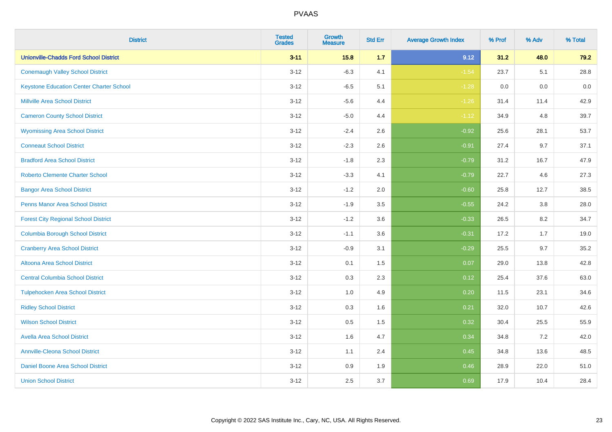| <b>District</b>                                 | <b>Tested</b><br><b>Grades</b> | <b>Growth</b><br><b>Measure</b> | <b>Std Err</b> | <b>Average Growth Index</b> | % Prof | % Adv | % Total |
|-------------------------------------------------|--------------------------------|---------------------------------|----------------|-----------------------------|--------|-------|---------|
| <b>Unionville-Chadds Ford School District</b>   | $3 - 11$                       | 15.8                            | 1.7            | 9.12                        | 31.2   | 48.0  | 79.2    |
| <b>Conemaugh Valley School District</b>         | $3 - 12$                       | $-6.3$                          | 4.1            | $-1.54$                     | 23.7   | 5.1   | 28.8    |
| <b>Keystone Education Center Charter School</b> | $3 - 12$                       | $-6.5$                          | 5.1            | $-1.28$                     | 0.0    | 0.0   | $0.0\,$ |
| <b>Millville Area School District</b>           | $3 - 12$                       | $-5.6$                          | 4.4            | $-1.26$                     | 31.4   | 11.4  | 42.9    |
| <b>Cameron County School District</b>           | $3 - 12$                       | $-5.0$                          | 4.4            | $-1.12$                     | 34.9   | 4.8   | 39.7    |
| <b>Wyomissing Area School District</b>          | $3 - 12$                       | $-2.4$                          | 2.6            | $-0.92$                     | 25.6   | 28.1  | 53.7    |
| <b>Conneaut School District</b>                 | $3 - 12$                       | $-2.3$                          | 2.6            | $-0.91$                     | 27.4   | 9.7   | 37.1    |
| <b>Bradford Area School District</b>            | $3 - 12$                       | $-1.8$                          | 2.3            | $-0.79$                     | 31.2   | 16.7  | 47.9    |
| <b>Roberto Clemente Charter School</b>          | $3 - 12$                       | $-3.3$                          | 4.1            | $-0.79$                     | 22.7   | 4.6   | 27.3    |
| <b>Bangor Area School District</b>              | $3 - 12$                       | $-1.2$                          | 2.0            | $-0.60$                     | 25.8   | 12.7  | 38.5    |
| <b>Penns Manor Area School District</b>         | $3 - 12$                       | $-1.9$                          | 3.5            | $-0.55$                     | 24.2   | 3.8   | 28.0    |
| <b>Forest City Regional School District</b>     | $3 - 12$                       | $-1.2$                          | 3.6            | $-0.33$                     | 26.5   | 8.2   | 34.7    |
| <b>Columbia Borough School District</b>         | $3 - 12$                       | $-1.1$                          | 3.6            | $-0.31$                     | 17.2   | 1.7   | 19.0    |
| <b>Cranberry Area School District</b>           | $3 - 12$                       | $-0.9$                          | 3.1            | $-0.29$                     | 25.5   | 9.7   | 35.2    |
| Altoona Area School District                    | $3 - 12$                       | 0.1                             | 1.5            | 0.07                        | 29.0   | 13.8  | 42.8    |
| <b>Central Columbia School District</b>         | $3 - 12$                       | 0.3                             | 2.3            | 0.12                        | 25.4   | 37.6  | 63.0    |
| <b>Tulpehocken Area School District</b>         | $3 - 12$                       | 1.0                             | 4.9            | 0.20                        | 11.5   | 23.1  | 34.6    |
| <b>Ridley School District</b>                   | $3 - 12$                       | 0.3                             | 1.6            | 0.21                        | 32.0   | 10.7  | 42.6    |
| <b>Wilson School District</b>                   | $3 - 12$                       | 0.5                             | 1.5            | 0.32                        | 30.4   | 25.5  | 55.9    |
| <b>Avella Area School District</b>              | $3 - 12$                       | 1.6                             | 4.7            | 0.34                        | 34.8   | 7.2   | 42.0    |
| <b>Annville-Cleona School District</b>          | $3 - 12$                       | 1.1                             | 2.4            | 0.45                        | 34.8   | 13.6  | 48.5    |
| Daniel Boone Area School District               | $3 - 12$                       | 0.9                             | 1.9            | 0.46                        | 28.9   | 22.0  | 51.0    |
| <b>Union School District</b>                    | $3 - 12$                       | 2.5                             | 3.7            | 0.69                        | 17.9   | 10.4  | 28.4    |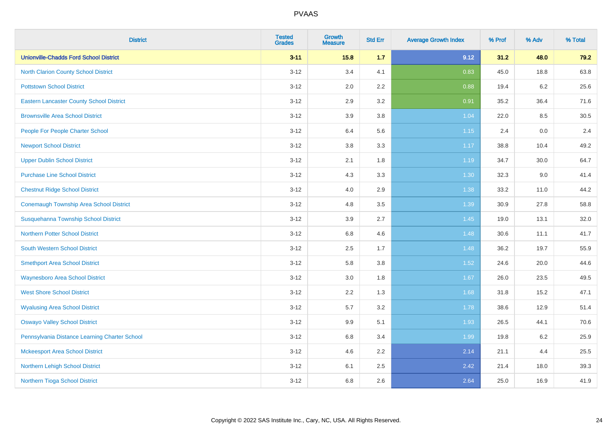| <b>District</b>                                 | <b>Tested</b><br><b>Grades</b> | <b>Growth</b><br><b>Measure</b> | <b>Std Err</b> | <b>Average Growth Index</b> | % Prof | % Adv   | % Total |
|-------------------------------------------------|--------------------------------|---------------------------------|----------------|-----------------------------|--------|---------|---------|
| <b>Unionville-Chadds Ford School District</b>   | $3 - 11$                       | 15.8                            | $1.7$          | 9.12                        | 31.2   | 48.0    | 79.2    |
| <b>North Clarion County School District</b>     | $3 - 12$                       | 3.4                             | 4.1            | 0.83                        | 45.0   | 18.8    | 63.8    |
| <b>Pottstown School District</b>                | $3 - 12$                       | 2.0                             | 2.2            | 0.88                        | 19.4   | $6.2\,$ | 25.6    |
| <b>Eastern Lancaster County School District</b> | $3 - 12$                       | 2.9                             | 3.2            | 0.91                        | 35.2   | 36.4    | 71.6    |
| <b>Brownsville Area School District</b>         | $3 - 12$                       | 3.9                             | 3.8            | 1.04                        | 22.0   | 8.5     | 30.5    |
| People For People Charter School                | $3 - 12$                       | 6.4                             | 5.6            | 1.15                        | 2.4    | 0.0     | 2.4     |
| <b>Newport School District</b>                  | $3 - 12$                       | $3.8\,$                         | 3.3            | 1.17                        | 38.8   | 10.4    | 49.2    |
| <b>Upper Dublin School District</b>             | $3 - 12$                       | 2.1                             | 1.8            | 1.19                        | 34.7   | 30.0    | 64.7    |
| <b>Purchase Line School District</b>            | $3 - 12$                       | 4.3                             | 3.3            | 1.30                        | 32.3   | 9.0     | 41.4    |
| <b>Chestnut Ridge School District</b>           | $3 - 12$                       | 4.0                             | 2.9            | 1.38                        | 33.2   | 11.0    | 44.2    |
| <b>Conemaugh Township Area School District</b>  | $3 - 12$                       | 4.8                             | 3.5            | 1.39                        | 30.9   | 27.8    | 58.8    |
| Susquehanna Township School District            | $3 - 12$                       | 3.9                             | 2.7            | 1.45                        | 19.0   | 13.1    | 32.0    |
| <b>Northern Potter School District</b>          | $3 - 12$                       | 6.8                             | 4.6            | 1.48                        | 30.6   | 11.1    | 41.7    |
| <b>South Western School District</b>            | $3 - 12$                       | 2.5                             | 1.7            | 1.48                        | 36.2   | 19.7    | 55.9    |
| <b>Smethport Area School District</b>           | $3 - 12$                       | 5.8                             | 3.8            | 1.52                        | 24.6   | 20.0    | 44.6    |
| <b>Waynesboro Area School District</b>          | $3 - 12$                       | 3.0                             | 1.8            | 1.67                        | 26.0   | 23.5    | 49.5    |
| <b>West Shore School District</b>               | $3 - 12$                       | 2.2                             | 1.3            | 1.68                        | 31.8   | 15.2    | 47.1    |
| <b>Wyalusing Area School District</b>           | $3 - 12$                       | 5.7                             | 3.2            | 1.78                        | 38.6   | 12.9    | 51.4    |
| <b>Oswayo Valley School District</b>            | $3 - 12$                       | 9.9                             | 5.1            | 1.93                        | 26.5   | 44.1    | 70.6    |
| Pennsylvania Distance Learning Charter School   | $3 - 12$                       | 6.8                             | 3.4            | 1.99                        | 19.8   | $6.2\,$ | 25.9    |
| <b>Mckeesport Area School District</b>          | $3-12$                         | 4.6                             | 2.2            | 2.14                        | 21.1   | 4.4     | 25.5    |
| Northern Lehigh School District                 | $3 - 12$                       | 6.1                             | 2.5            | 2.42                        | 21.4   | 18.0    | 39.3    |
| Northern Tioga School District                  | $3 - 12$                       | 6.8                             | 2.6            | 2.64                        | 25.0   | 16.9    | 41.9    |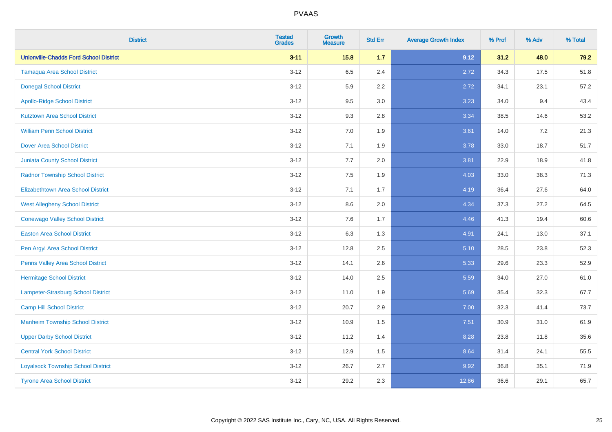| <b>District</b>                               | <b>Tested</b><br><b>Grades</b> | <b>Growth</b><br><b>Measure</b> | <b>Std Err</b> | <b>Average Growth Index</b> | % Prof | % Adv   | % Total |
|-----------------------------------------------|--------------------------------|---------------------------------|----------------|-----------------------------|--------|---------|---------|
| <b>Unionville-Chadds Ford School District</b> | $3 - 11$                       | 15.8                            | 1.7            | 9.12                        | 31.2   | 48.0    | 79.2    |
| <b>Tamaqua Area School District</b>           | $3 - 12$                       | 6.5                             | 2.4            | 2.72                        | 34.3   | 17.5    | 51.8    |
| <b>Donegal School District</b>                | $3 - 12$                       | 5.9                             | 2.2            | 2.72                        | 34.1   | 23.1    | 57.2    |
| <b>Apollo-Ridge School District</b>           | $3 - 12$                       | 9.5                             | 3.0            | 3.23                        | 34.0   | 9.4     | 43.4    |
| <b>Kutztown Area School District</b>          | $3 - 12$                       | 9.3                             | 2.8            | 3.34                        | 38.5   | 14.6    | 53.2    |
| <b>William Penn School District</b>           | $3 - 12$                       | 7.0                             | 1.9            | 3.61                        | 14.0   | $7.2\,$ | 21.3    |
| <b>Dover Area School District</b>             | $3 - 12$                       | 7.1                             | 1.9            | 3.78                        | 33.0   | 18.7    | 51.7    |
| <b>Juniata County School District</b>         | $3 - 12$                       | 7.7                             | 2.0            | 3.81                        | 22.9   | 18.9    | 41.8    |
| <b>Radnor Township School District</b>        | $3 - 12$                       | 7.5                             | 1.9            | 4.03                        | 33.0   | 38.3    | 71.3    |
| <b>Elizabethtown Area School District</b>     | $3-12$                         | 7.1                             | 1.7            | 4.19                        | 36.4   | 27.6    | 64.0    |
| <b>West Allegheny School District</b>         | $3-12$                         | 8.6                             | 2.0            | 4.34                        | 37.3   | 27.2    | 64.5    |
| <b>Conewago Valley School District</b>        | $3 - 12$                       | 7.6                             | 1.7            | 4.46                        | 41.3   | 19.4    | 60.6    |
| <b>Easton Area School District</b>            | $3 - 12$                       | 6.3                             | 1.3            | 4.91                        | 24.1   | 13.0    | 37.1    |
| Pen Argyl Area School District                | $3 - 12$                       | 12.8                            | 2.5            | 5.10                        | 28.5   | 23.8    | 52.3    |
| Penns Valley Area School District             | $3 - 12$                       | 14.1                            | 2.6            | 5.33                        | 29.6   | 23.3    | 52.9    |
| <b>Hermitage School District</b>              | $3 - 12$                       | 14.0                            | 2.5            | 5.59                        | 34.0   | 27.0    | 61.0    |
| Lampeter-Strasburg School District            | $3 - 12$                       | 11.0                            | 1.9            | 5.69                        | 35.4   | 32.3    | 67.7    |
| <b>Camp Hill School District</b>              | $3 - 12$                       | 20.7                            | 2.9            | 7.00                        | 32.3   | 41.4    | 73.7    |
| <b>Manheim Township School District</b>       | $3 - 12$                       | 10.9                            | 1.5            | 7.51                        | 30.9   | 31.0    | 61.9    |
| <b>Upper Darby School District</b>            | $3 - 12$                       | 11.2                            | 1.4            | 8.28                        | 23.8   | 11.8    | 35.6    |
| <b>Central York School District</b>           | $3 - 12$                       | 12.9                            | 1.5            | 8.64                        | 31.4   | 24.1    | 55.5    |
| <b>Loyalsock Township School District</b>     | $3 - 12$                       | 26.7                            | 2.7            | 9.92                        | 36.8   | 35.1    | 71.9    |
| <b>Tyrone Area School District</b>            | $3 - 12$                       | 29.2                            | 2.3            | 12.86                       | 36.6   | 29.1    | 65.7    |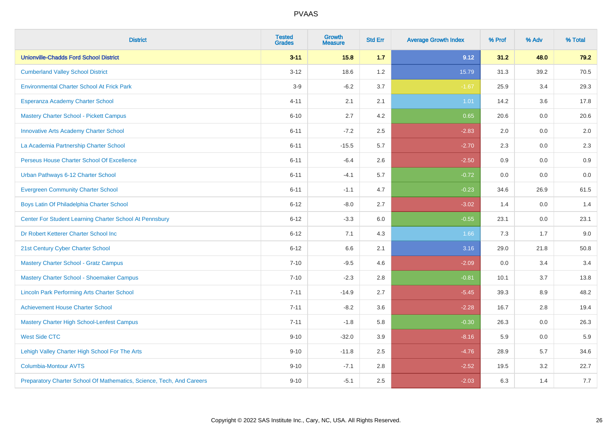| <b>District</b>                                                       | <b>Tested</b><br><b>Grades</b> | <b>Growth</b><br><b>Measure</b> | <b>Std Err</b> | <b>Average Growth Index</b> | % Prof | % Adv | % Total |
|-----------------------------------------------------------------------|--------------------------------|---------------------------------|----------------|-----------------------------|--------|-------|---------|
| <b>Unionville-Chadds Ford School District</b>                         | $3 - 11$                       | 15.8                            | $1.7$          | 9.12                        | 31.2   | 48.0  | 79.2    |
| <b>Cumberland Valley School District</b>                              | $3 - 12$                       | 18.6                            | 1.2            | 15.79                       | 31.3   | 39.2  | 70.5    |
| <b>Environmental Charter School At Frick Park</b>                     | $3-9$                          | $-6.2$                          | 3.7            | $-1.67$                     | 25.9   | 3.4   | 29.3    |
| Esperanza Academy Charter School                                      | $4 - 11$                       | 2.1                             | 2.1            | 1.01                        | 14.2   | 3.6   | 17.8    |
| <b>Mastery Charter School - Pickett Campus</b>                        | $6 - 10$                       | 2.7                             | 4.2            | 0.65                        | 20.6   | 0.0   | 20.6    |
| <b>Innovative Arts Academy Charter School</b>                         | $6 - 11$                       | $-7.2$                          | 2.5            | $-2.83$                     | 2.0    | 0.0   | 2.0     |
| La Academia Partnership Charter School                                | $6 - 11$                       | $-15.5$                         | 5.7            | $-2.70$                     | 2.3    | 0.0   | 2.3     |
| Perseus House Charter School Of Excellence                            | $6 - 11$                       | $-6.4$                          | 2.6            | $-2.50$                     | 0.9    | 0.0   | 0.9     |
| Urban Pathways 6-12 Charter School                                    | $6 - 11$                       | $-4.1$                          | 5.7            | $-0.72$                     | 0.0    | 0.0   | $0.0\,$ |
| <b>Evergreen Community Charter School</b>                             | $6 - 11$                       | $-1.1$                          | 4.7            | $-0.23$                     | 34.6   | 26.9  | 61.5    |
| Boys Latin Of Philadelphia Charter School                             | $6 - 12$                       | $-8.0$                          | 2.7            | $-3.02$                     | 1.4    | 0.0   | 1.4     |
| Center For Student Learning Charter School At Pennsbury               | $6 - 12$                       | $-3.3$                          | 6.0            | $-0.55$                     | 23.1   | 0.0   | 23.1    |
| Dr Robert Ketterer Charter School Inc                                 | $6 - 12$                       | 7.1                             | 4.3            | 1.66                        | 7.3    | 1.7   | 9.0     |
| 21st Century Cyber Charter School                                     | $6 - 12$                       | 6.6                             | 2.1            | 3.16                        | 29.0   | 21.8  | 50.8    |
| <b>Mastery Charter School - Gratz Campus</b>                          | $7 - 10$                       | $-9.5$                          | 4.6            | $-2.09$                     | 0.0    | 3.4   | 3.4     |
| Mastery Charter School - Shoemaker Campus                             | $7 - 10$                       | $-2.3$                          | 2.8            | $-0.81$                     | 10.1   | 3.7   | 13.8    |
| <b>Lincoln Park Performing Arts Charter School</b>                    | $7 - 11$                       | $-14.9$                         | 2.7            | $-5.45$                     | 39.3   | 8.9   | 48.2    |
| <b>Achievement House Charter School</b>                               | $7 - 11$                       | $-8.2$                          | 3.6            | $-2.28$                     | 16.7   | 2.8   | 19.4    |
| <b>Mastery Charter High School-Lenfest Campus</b>                     | $7 - 11$                       | $-1.8$                          | 5.8            | $-0.30$                     | 26.3   | 0.0   | 26.3    |
| <b>West Side CTC</b>                                                  | $9 - 10$                       | $-32.0$                         | 3.9            | $-8.16$                     | 5.9    | 0.0   | 5.9     |
| Lehigh Valley Charter High School For The Arts                        | $9 - 10$                       | $-11.8$                         | 2.5            | $-4.76$                     | 28.9   | 5.7   | 34.6    |
| <b>Columbia-Montour AVTS</b>                                          | $9 - 10$                       | $-7.1$                          | 2.8            | $-2.52$                     | 19.5   | 3.2   | 22.7    |
| Preparatory Charter School Of Mathematics, Science, Tech, And Careers | $9 - 10$                       | $-5.1$                          | 2.5            | $-2.03$                     | 6.3    | 1.4   | 7.7     |